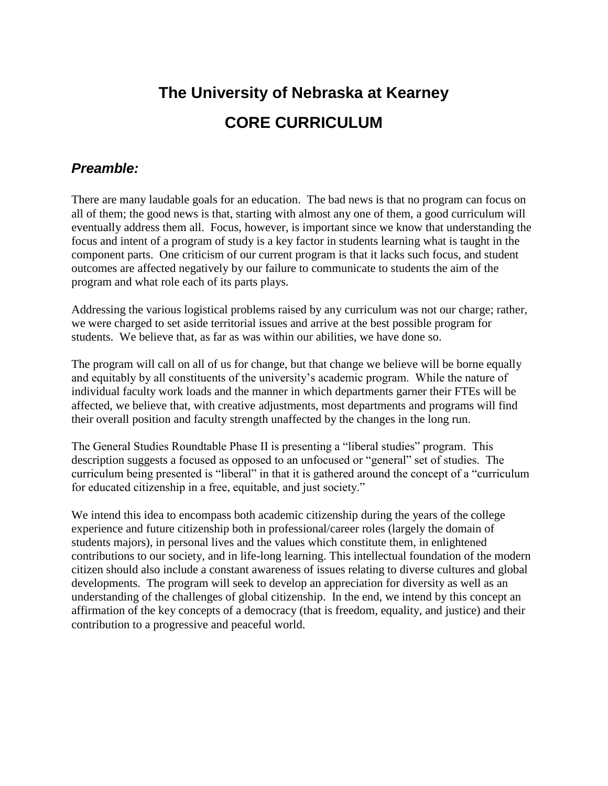# **The University of Nebraska at Kearney CORE CURRICULUM**

## *Preamble:*

There are many laudable goals for an education. The bad news is that no program can focus on all of them; the good news is that, starting with almost any one of them, a good curriculum will eventually address them all. Focus, however, is important since we know that understanding the focus and intent of a program of study is a key factor in students learning what is taught in the component parts. One criticism of our current program is that it lacks such focus, and student outcomes are affected negatively by our failure to communicate to students the aim of the program and what role each of its parts plays.

Addressing the various logistical problems raised by any curriculum was not our charge; rather, we were charged to set aside territorial issues and arrive at the best possible program for students. We believe that, as far as was within our abilities, we have done so.

The program will call on all of us for change, but that change we believe will be borne equally and equitably by all constituents of the university's academic program. While the nature of individual faculty work loads and the manner in which departments garner their FTEs will be affected, we believe that, with creative adjustments, most departments and programs will find their overall position and faculty strength unaffected by the changes in the long run.

The General Studies Roundtable Phase II is presenting a "liberal studies" program. This description suggests a focused as opposed to an unfocused or "general" set of studies. The curriculum being presented is "liberal" in that it is gathered around the concept of a "curriculum for educated citizenship in a free, equitable, and just society."

We intend this idea to encompass both academic citizenship during the years of the college experience and future citizenship both in professional/career roles (largely the domain of students majors), in personal lives and the values which constitute them, in enlightened contributions to our society, and in life-long learning. This intellectual foundation of the modern citizen should also include a constant awareness of issues relating to diverse cultures and global developments. The program will seek to develop an appreciation for diversity as well as an understanding of the challenges of global citizenship. In the end, we intend by this concept an affirmation of the key concepts of a democracy (that is freedom, equality, and justice) and their contribution to a progressive and peaceful world.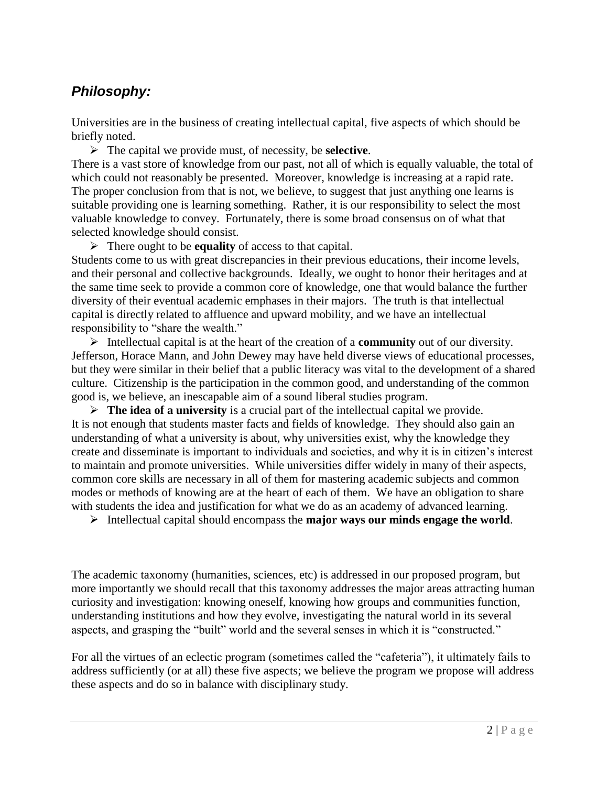# *Philosophy:*

Universities are in the business of creating intellectual capital, five aspects of which should be briefly noted.

The capital we provide must, of necessity, be **selective**.

There is a vast store of knowledge from our past, not all of which is equally valuable, the total of which could not reasonably be presented. Moreover, knowledge is increasing at a rapid rate. The proper conclusion from that is not, we believe, to suggest that just anything one learns is suitable providing one is learning something. Rather, it is our responsibility to select the most valuable knowledge to convey. Fortunately, there is some broad consensus on of what that selected knowledge should consist.

There ought to be **equality** of access to that capital.

Students come to us with great discrepancies in their previous educations, their income levels, and their personal and collective backgrounds. Ideally, we ought to honor their heritages and at the same time seek to provide a common core of knowledge, one that would balance the further diversity of their eventual academic emphases in their majors. The truth is that intellectual capital is directly related to affluence and upward mobility, and we have an intellectual responsibility to "share the wealth."

Intellectual capital is at the heart of the creation of a **community** out of our diversity. Jefferson, Horace Mann, and John Dewey may have held diverse views of educational processes, but they were similar in their belief that a public literacy was vital to the development of a shared culture. Citizenship is the participation in the common good, and understanding of the common good is, we believe, an inescapable aim of a sound liberal studies program.

 $\triangleright$  **The idea of a university** is a crucial part of the intellectual capital we provide. It is not enough that students master facts and fields of knowledge. They should also gain an understanding of what a university is about, why universities exist, why the knowledge they create and disseminate is important to individuals and societies, and why it is in citizen's interest to maintain and promote universities. While universities differ widely in many of their aspects, common core skills are necessary in all of them for mastering academic subjects and common modes or methods of knowing are at the heart of each of them. We have an obligation to share with students the idea and justification for what we do as an academy of advanced learning.

Intellectual capital should encompass the **major ways our minds engage the world**.

The academic taxonomy (humanities, sciences, etc) is addressed in our proposed program, but more importantly we should recall that this taxonomy addresses the major areas attracting human curiosity and investigation: knowing oneself, knowing how groups and communities function, understanding institutions and how they evolve, investigating the natural world in its several aspects, and grasping the "built" world and the several senses in which it is "constructed."

For all the virtues of an eclectic program (sometimes called the "cafeteria"), it ultimately fails to address sufficiently (or at all) these five aspects; we believe the program we propose will address these aspects and do so in balance with disciplinary study.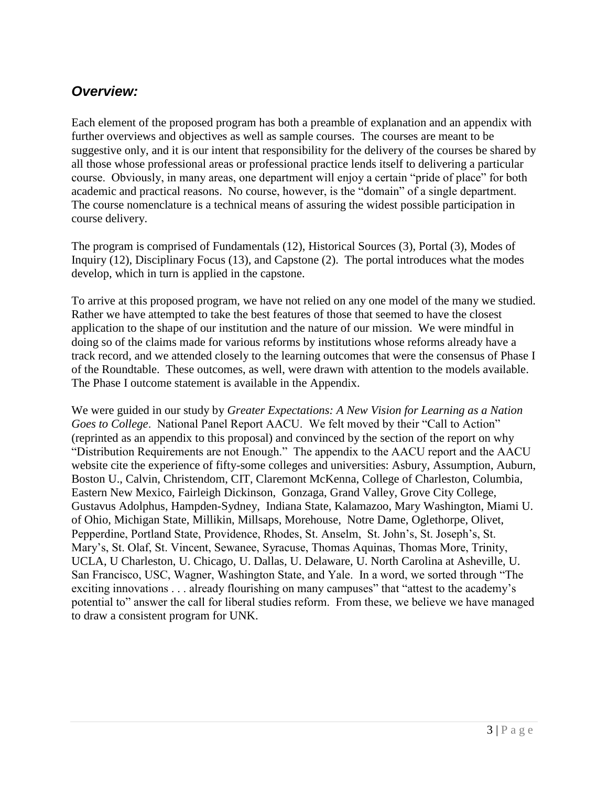## *Overview:*

Each element of the proposed program has both a preamble of explanation and an appendix with further overviews and objectives as well as sample courses. The courses are meant to be suggestive only, and it is our intent that responsibility for the delivery of the courses be shared by all those whose professional areas or professional practice lends itself to delivering a particular course. Obviously, in many areas, one department will enjoy a certain "pride of place" for both academic and practical reasons. No course, however, is the "domain" of a single department. The course nomenclature is a technical means of assuring the widest possible participation in course delivery.

The program is comprised of Fundamentals (12), Historical Sources (3), Portal (3), Modes of Inquiry (12), Disciplinary Focus (13), and Capstone (2). The portal introduces what the modes develop, which in turn is applied in the capstone.

To arrive at this proposed program, we have not relied on any one model of the many we studied. Rather we have attempted to take the best features of those that seemed to have the closest application to the shape of our institution and the nature of our mission. We were mindful in doing so of the claims made for various reforms by institutions whose reforms already have a track record, and we attended closely to the learning outcomes that were the consensus of Phase I of the Roundtable. These outcomes, as well, were drawn with attention to the models available. The Phase I outcome statement is available in the Appendix.

We were guided in our study by *Greater Expectations: A New Vision for Learning as a Nation Goes to College*. National Panel Report AACU. We felt moved by their "Call to Action" (reprinted as an appendix to this proposal) and convinced by the section of the report on why "Distribution Requirements are not Enough." The appendix to the AACU report and the AACU website cite the experience of fifty-some colleges and universities: Asbury, Assumption, Auburn, Boston U., Calvin, Christendom, CIT, Claremont McKenna, College of Charleston, Columbia, Eastern New Mexico, Fairleigh Dickinson, Gonzaga, Grand Valley, Grove City College, Gustavus Adolphus, Hampden-Sydney, Indiana State, Kalamazoo, Mary Washington, Miami U. of Ohio, Michigan State, Millikin, Millsaps, Morehouse, Notre Dame, Oglethorpe, Olivet, Pepperdine, Portland State, Providence, Rhodes, St. Anselm, St. John's, St. Joseph's, St. Mary's, St. Olaf, St. Vincent, Sewanee, Syracuse, Thomas Aquinas, Thomas More, Trinity, UCLA, U Charleston, U. Chicago, U. Dallas, U. Delaware, U. North Carolina at Asheville, U. San Francisco, USC, Wagner, Washington State, and Yale. In a word, we sorted through "The exciting innovations . . . already flourishing on many campuses" that "attest to the academy's potential to" answer the call for liberal studies reform. From these, we believe we have managed to draw a consistent program for UNK.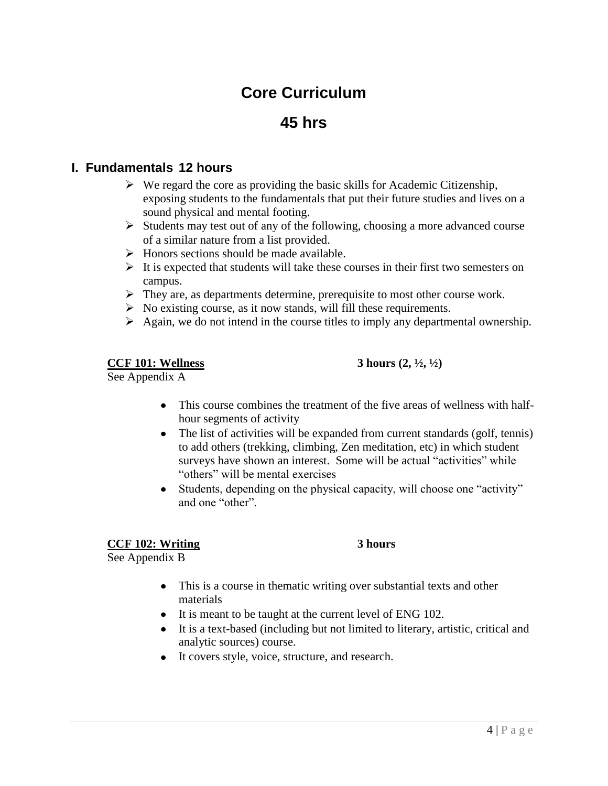# **Core Curriculum**

# **45 hrs**

#### **I. Fundamentals 12 hours**

- $\triangleright$  We regard the core as providing the basic skills for Academic Citizenship, exposing students to the fundamentals that put their future studies and lives on a sound physical and mental footing.
- $\triangleright$  Students may test out of any of the following, choosing a more advanced course of a similar nature from a list provided.
- $\triangleright$  Honors sections should be made available.
- $\triangleright$  It is expected that students will take these courses in their first two semesters on campus.
- $\triangleright$  They are, as departments determine, prerequisite to most other course work.
- $\triangleright$  No existing course, as it now stands, will fill these requirements.
- $\triangleright$  Again, we do not intend in the course titles to imply any departmental ownership.

#### **CCF 101: Wellness 3 hours (2, ½, ½)**

See Appendix A

- This course combines the treatment of the five areas of wellness with halfhour segments of activity
- The list of activities will be expanded from current standards (golf, tennis) to add others (trekking, climbing, Zen meditation, etc) in which student surveys have shown an interest. Some will be actual "activities" while "others" will be mental exercises
- Students, depending on the physical capacity, will choose one "activity" and one "other".

#### **CCF 102: Writing 3 hours**

See Appendix B

- This is a course in thematic writing over substantial texts and other materials
- It is meant to be taught at the current level of ENG 102.
- It is a text-based (including but not limited to literary, artistic, critical and analytic sources) course.
- It covers style, voice, structure, and research.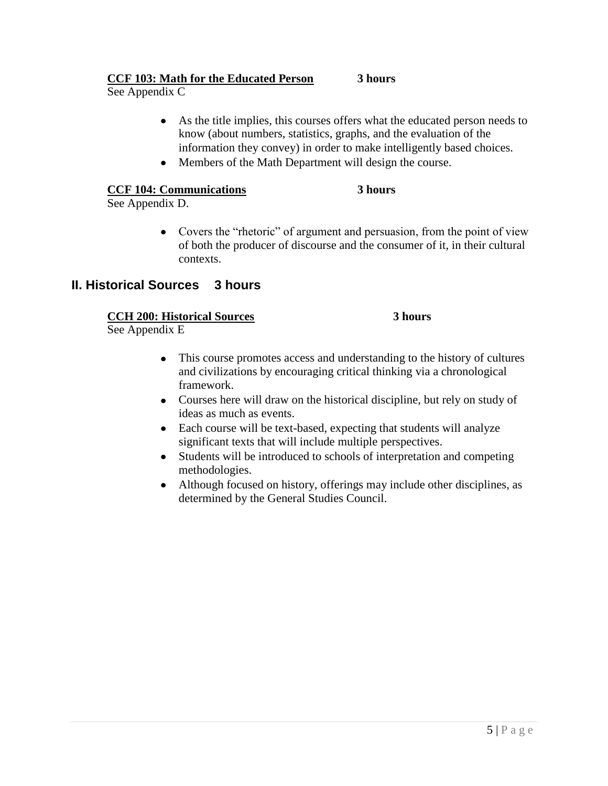#### **CCF 103: Math for the Educated Person 3 hours**

See Appendix C

- As the title implies, this courses offers what the educated person needs to know (about numbers, statistics, graphs, and the evaluation of the information they convey) in order to make intelligently based choices.
- Members of the Math Department will design the course.

#### **CCF 104: Communications 3 hours**

See Appendix D.

• Covers the "rhetoric" of argument and persuasion, from the point of view of both the producer of discourse and the consumer of it, in their cultural contexts.

#### **II. Historical Sources 3 hours**

#### **CCH 200: Historical Sources 3 hours**

See Appendix E

- This course promotes access and understanding to the history of cultures and civilizations by encouraging critical thinking via a chronological framework.
- Courses here will draw on the historical discipline, but rely on study of ideas as much as events.
- Each course will be text-based, expecting that students will analyze significant texts that will include multiple perspectives.
- Students will be introduced to schools of interpretation and competing methodologies.
- Although focused on history, offerings may include other disciplines, as determined by the General Studies Council.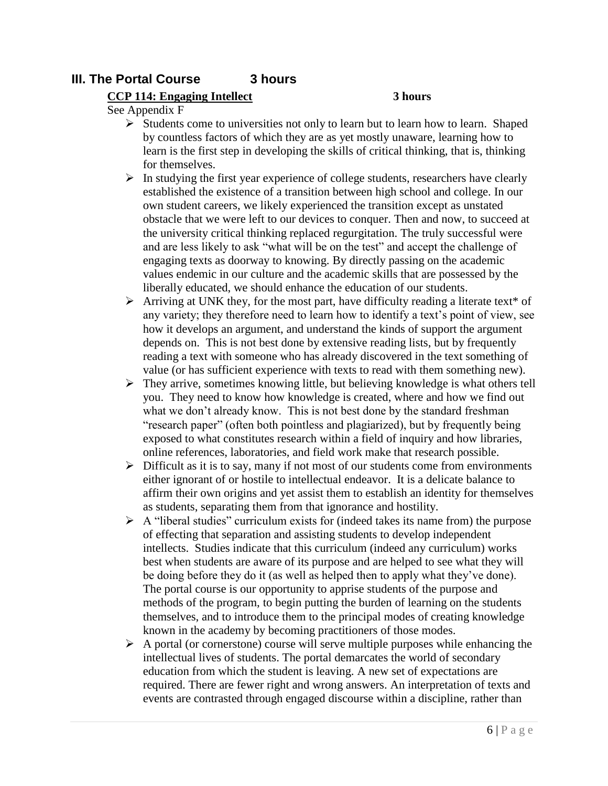#### **III. The Portal Course 3 hours**

#### **CCP 114: Engaging Intellect 3 hours**

See Appendix F

- $\triangleright$  Students come to universities not only to learn but to learn how to learn. Shaped by countless factors of which they are as yet mostly unaware, learning how to learn is the first step in developing the skills of critical thinking, that is, thinking for themselves.
- $\triangleright$  In studying the first year experience of college students, researchers have clearly established the existence of a transition between high school and college. In our own student careers, we likely experienced the transition except as unstated obstacle that we were left to our devices to conquer. Then and now, to succeed at the university critical thinking replaced regurgitation. The truly successful were and are less likely to ask "what will be on the test" and accept the challenge of engaging texts as doorway to knowing. By directly passing on the academic values endemic in our culture and the academic skills that are possessed by the liberally educated, we should enhance the education of our students.
- $\triangleright$  Arriving at UNK they, for the most part, have difficulty reading a literate text<sup>\*</sup> of any variety; they therefore need to learn how to identify a text's point of view, see how it develops an argument, and understand the kinds of support the argument depends on. This is not best done by extensive reading lists, but by frequently reading a text with someone who has already discovered in the text something of value (or has sufficient experience with texts to read with them something new).
- $\triangleright$  They arrive, sometimes knowing little, but believing knowledge is what others tell you. They need to know how knowledge is created, where and how we find out what we don't already know. This is not best done by the standard freshman "research paper" (often both pointless and plagiarized), but by frequently being exposed to what constitutes research within a field of inquiry and how libraries, online references, laboratories, and field work make that research possible.
- $\triangleright$  Difficult as it is to say, many if not most of our students come from environments either ignorant of or hostile to intellectual endeavor. It is a delicate balance to affirm their own origins and yet assist them to establish an identity for themselves as students, separating them from that ignorance and hostility.
- $\triangleright$  A "liberal studies" curriculum exists for (indeed takes its name from) the purpose of effecting that separation and assisting students to develop independent intellects. Studies indicate that this curriculum (indeed any curriculum) works best when students are aware of its purpose and are helped to see what they will be doing before they do it (as well as helped then to apply what they've done). The portal course is our opportunity to apprise students of the purpose and methods of the program, to begin putting the burden of learning on the students themselves, and to introduce them to the principal modes of creating knowledge known in the academy by becoming practitioners of those modes.
- $\triangleright$  A portal (or cornerstone) course will serve multiple purposes while enhancing the intellectual lives of students. The portal demarcates the world of secondary education from which the student is leaving. A new set of expectations are required. There are fewer right and wrong answers. An interpretation of texts and events are contrasted through engaged discourse within a discipline, rather than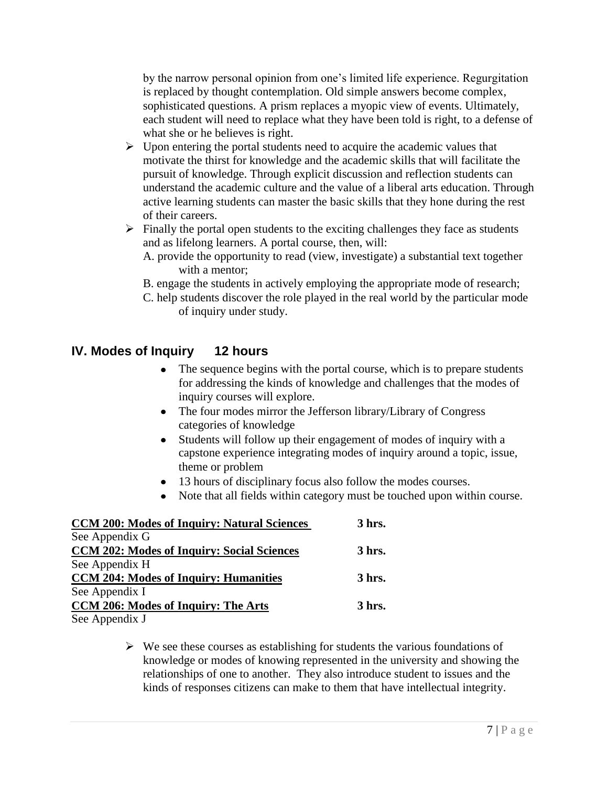by the narrow personal opinion from one's limited life experience. Regurgitation is replaced by thought contemplation. Old simple answers become complex, sophisticated questions. A prism replaces a myopic view of events. Ultimately, each student will need to replace what they have been told is right, to a defense of what she or he believes is right.

- $\triangleright$  Upon entering the portal students need to acquire the academic values that motivate the thirst for knowledge and the academic skills that will facilitate the pursuit of knowledge. Through explicit discussion and reflection students can understand the academic culture and the value of a liberal arts education. Through active learning students can master the basic skills that they hone during the rest of their careers.
- $\triangleright$  Finally the portal open students to the exciting challenges they face as students and as lifelong learners. A portal course, then, will:
	- A. provide the opportunity to read (view, investigate) a substantial text together with a mentor;
	- B. engage the students in actively employing the appropriate mode of research;
	- C. help students discover the role played in the real world by the particular mode of inquiry under study.

#### **IV. Modes of Inquiry 12 hours**

- The sequence begins with the portal course, which is to prepare students for addressing the kinds of knowledge and challenges that the modes of inquiry courses will explore.
- The four modes mirror the Jefferson library/Library of Congress  $\bullet$ categories of knowledge
- Students will follow up their engagement of modes of inquiry with a capstone experience integrating modes of inquiry around a topic, issue, theme or problem
- 13 hours of disciplinary focus also follow the modes courses.
- Note that all fields within category must be touched upon within course.

| <b>CCM 200: Modes of Inquiry: Natural Sciences</b> | 3 hrs. |
|----------------------------------------------------|--------|
| See Appendix G                                     |        |
| <b>CCM 202: Modes of Inquiry: Social Sciences</b>  | 3 hrs. |
| See Appendix H                                     |        |
| <b>CCM 204: Modes of Inquiry: Humanities</b>       | 3 hrs. |
| See Appendix I                                     |        |
| CCM 206: Modes of Inquiry: The Arts                | 3 hrs. |
| See Appendix J                                     |        |

 $\triangleright$  We see these courses as establishing for students the various foundations of knowledge or modes of knowing represented in the university and showing the relationships of one to another. They also introduce student to issues and the kinds of responses citizens can make to them that have intellectual integrity.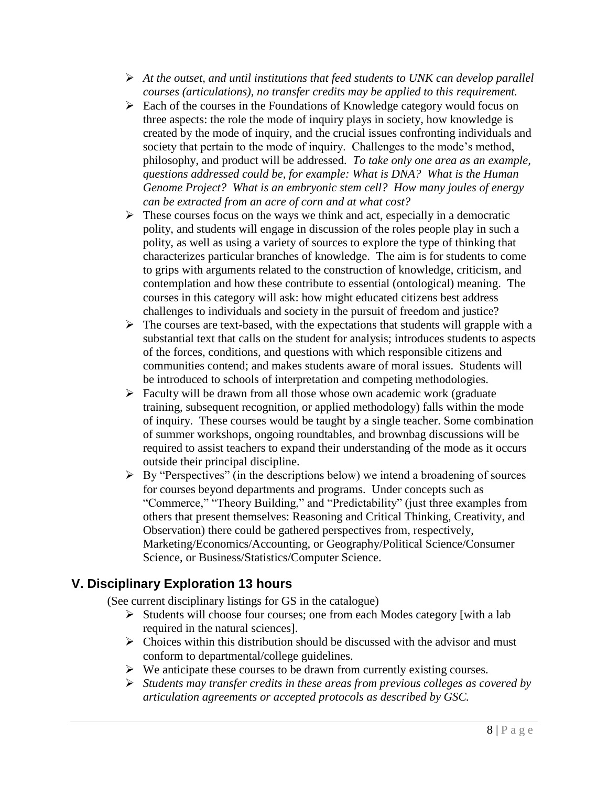- *At the outset, and until institutions that feed students to UNK can develop parallel courses (articulations), no transfer credits may be applied to this requirement.*
- $\triangleright$  Each of the courses in the Foundations of Knowledge category would focus on three aspects: the role the mode of inquiry plays in society, how knowledge is created by the mode of inquiry, and the crucial issues confronting individuals and society that pertain to the mode of inquiry. Challenges to the mode's method, philosophy, and product will be addressed. *To take only one area as an example, questions addressed could be, for example: What is DNA? What is the Human Genome Project? What is an embryonic stem cell? How many joules of energy can be extracted from an acre of corn and at what cost?*
- $\triangleright$  These courses focus on the ways we think and act, especially in a democratic polity, and students will engage in discussion of the roles people play in such a polity, as well as using a variety of sources to explore the type of thinking that characterizes particular branches of knowledge. The aim is for students to come to grips with arguments related to the construction of knowledge, criticism, and contemplation and how these contribute to essential (ontological) meaning. The courses in this category will ask: how might educated citizens best address challenges to individuals and society in the pursuit of freedom and justice?
- $\triangleright$  The courses are text-based, with the expectations that students will grapple with a substantial text that calls on the student for analysis; introduces students to aspects of the forces, conditions, and questions with which responsible citizens and communities contend; and makes students aware of moral issues. Students will be introduced to schools of interpretation and competing methodologies.
- Faculty will be drawn from all those whose own academic work (graduate training, subsequent recognition, or applied methodology) falls within the mode of inquiry. These courses would be taught by a single teacher. Some combination of summer workshops, ongoing roundtables, and brownbag discussions will be required to assist teachers to expand their understanding of the mode as it occurs outside their principal discipline.
- $\triangleright$  By "Perspectives" (in the descriptions below) we intend a broadening of sources for courses beyond departments and programs. Under concepts such as "Commerce," "Theory Building," and "Predictability" (just three examples from others that present themselves: Reasoning and Critical Thinking, Creativity, and Observation) there could be gathered perspectives from, respectively, Marketing/Economics/Accounting, or Geography/Political Science/Consumer Science, or Business/Statistics/Computer Science.

#### **V. Disciplinary Exploration 13 hours**

(See current disciplinary listings for GS in the catalogue)

- $\triangleright$  Students will choose four courses; one from each Modes category [with a lab] required in the natural sciences].
- $\triangleright$  Choices within this distribution should be discussed with the advisor and must conform to departmental/college guidelines.
- $\triangleright$  We anticipate these courses to be drawn from currently existing courses.
- *Students may transfer credits in these areas from previous colleges as covered by articulation agreements or accepted protocols as described by GSC.*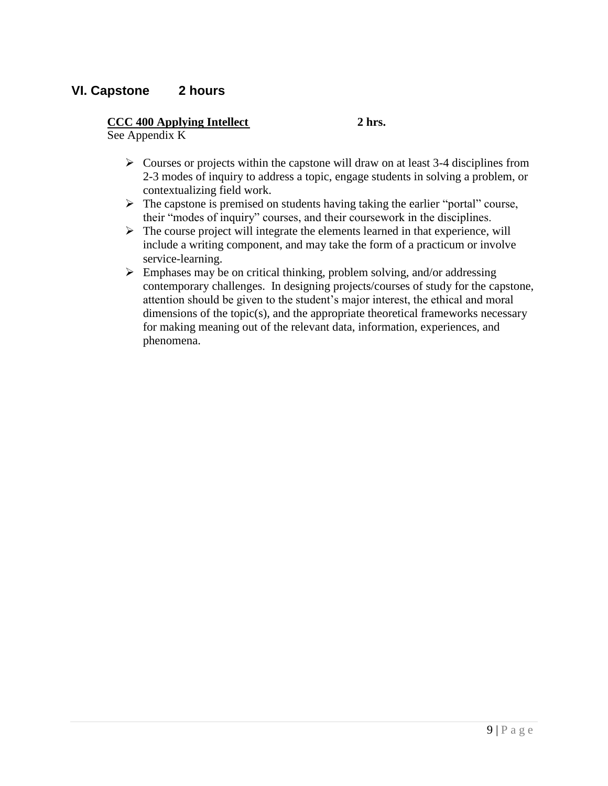#### **VI. Capstone 2 hours**

#### **CCC 400 Applying Intellect 2 hrs.**

See Appendix K

- $\triangleright$  Courses or projects within the capstone will draw on at least 3-4 disciplines from 2-3 modes of inquiry to address a topic, engage students in solving a problem, or contextualizing field work.
- $\triangleright$  The capstone is premised on students having taking the earlier "portal" course, their "modes of inquiry" courses, and their coursework in the disciplines.
- $\triangleright$  The course project will integrate the elements learned in that experience, will include a writing component, and may take the form of a practicum or involve service-learning.
- $\triangleright$  Emphases may be on critical thinking, problem solving, and/or addressing contemporary challenges. In designing projects/courses of study for the capstone, attention should be given to the student's major interest, the ethical and moral dimensions of the topic(s), and the appropriate theoretical frameworks necessary for making meaning out of the relevant data, information, experiences, and phenomena.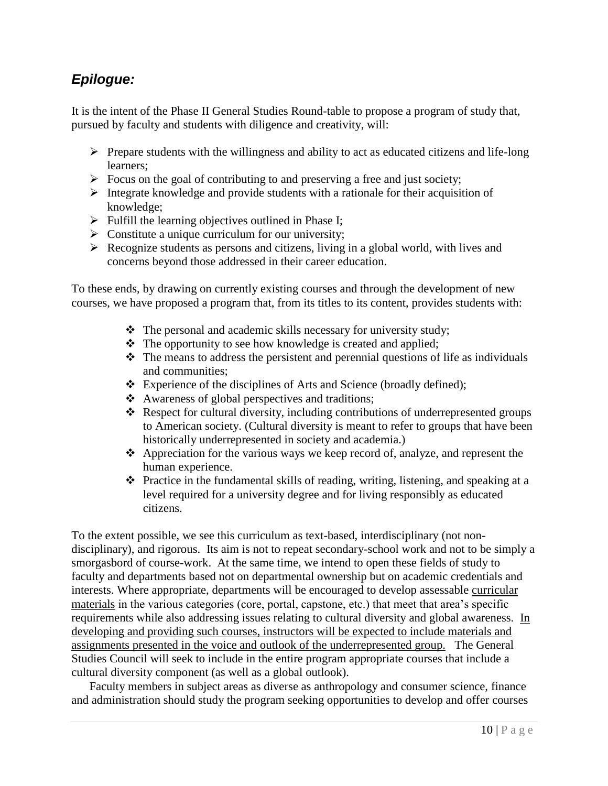# *Epilogue:*

It is the intent of the Phase II General Studies Round-table to propose a program of study that, pursued by faculty and students with diligence and creativity, will:

- $\triangleright$  Prepare students with the willingness and ability to act as educated citizens and life-long learners;
- $\triangleright$  Focus on the goal of contributing to and preserving a free and just society;
- Integrate knowledge and provide students with a rationale for their acquisition of knowledge;
- $\triangleright$  Fulfill the learning objectives outlined in Phase I;
- $\triangleright$  Constitute a unique curriculum for our university;
- $\triangleright$  Recognize students as persons and citizens, living in a global world, with lives and concerns beyond those addressed in their career education.

To these ends, by drawing on currently existing courses and through the development of new courses, we have proposed a program that, from its titles to its content, provides students with:

- The personal and academic skills necessary for university study;
- The opportunity to see how knowledge is created and applied;
- $\triangle$  The means to address the persistent and perennial questions of life as individuals and communities;
- Experience of the disciplines of Arts and Science (broadly defined);
- Awareness of global perspectives and traditions;
- Respect for cultural diversity, including contributions of underrepresented groups to American society. (Cultural diversity is meant to refer to groups that have been historically underrepresented in society and academia.)
- $\triangle$  Appreciation for the various ways we keep record of, analyze, and represent the human experience.
- $\triangle$  Practice in the fundamental skills of reading, writing, listening, and speaking at a level required for a university degree and for living responsibly as educated citizens.

To the extent possible, we see this curriculum as text-based, interdisciplinary (not nondisciplinary), and rigorous. Its aim is not to repeat secondary-school work and not to be simply a smorgasbord of course-work. At the same time, we intend to open these fields of study to faculty and departments based not on departmental ownership but on academic credentials and interests. Where appropriate, departments will be encouraged to develop assessable curricular materials in the various categories (core, portal, capstone, etc.) that meet that area's specific requirements while also addressing issues relating to cultural diversity and global awareness. In developing and providing such courses, instructors will be expected to include materials and assignments presented in the voice and outlook of the underrepresented group. The General Studies Council will seek to include in the entire program appropriate courses that include a cultural diversity component (as well as a global outlook).

Faculty members in subject areas as diverse as anthropology and consumer science, finance and administration should study the program seeking opportunities to develop and offer courses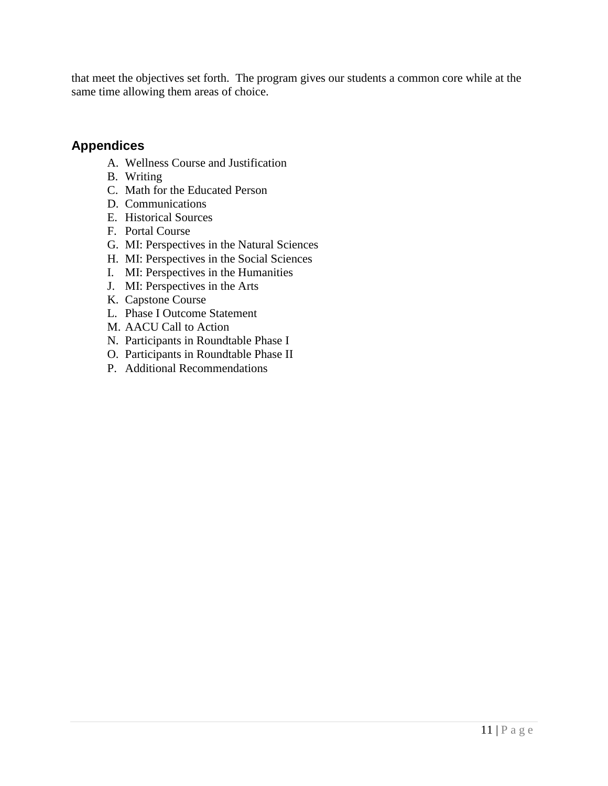that meet the objectives set forth. The program gives our students a common core while at the same time allowing them areas of choice.

#### **Appendices**

- A. Wellness Course and Justification
- B. Writing
- C. Math for the Educated Person
- D. Communications
- E. Historical Sources
- F. Portal Course
- G. MI: Perspectives in the Natural Sciences
- H. MI: Perspectives in the Social Sciences
- I. MI: Perspectives in the Humanities
- J. MI: Perspectives in the Arts
- K. Capstone Course
- L. Phase I Outcome Statement
- M. AACU Call to Action
- N. Participants in Roundtable Phase I
- O. Participants in Roundtable Phase II
- P. Additional Recommendations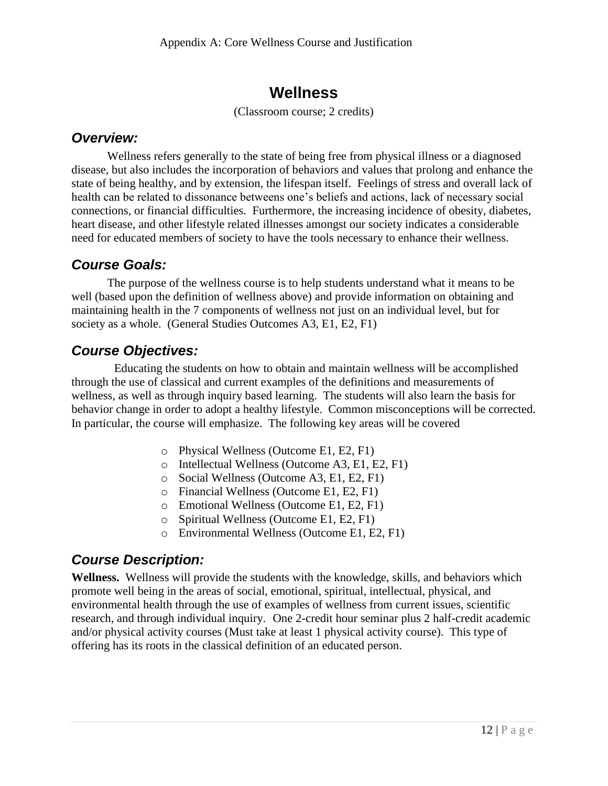# **Wellness**

(Classroom course; 2 credits)

#### *Overview:*

Wellness refers generally to the state of being free from physical illness or a diagnosed disease, but also includes the incorporation of behaviors and values that prolong and enhance the state of being healthy, and by extension, the lifespan itself. Feelings of stress and overall lack of health can be related to dissonance betweens one's beliefs and actions, lack of necessary social connections, or financial difficulties. Furthermore, the increasing incidence of obesity, diabetes, heart disease, and other lifestyle related illnesses amongst our society indicates a considerable need for educated members of society to have the tools necessary to enhance their wellness.

## *Course Goals:*

The purpose of the wellness course is to help students understand what it means to be well (based upon the definition of wellness above) and provide information on obtaining and maintaining health in the 7 components of wellness not just on an individual level, but for society as a whole. (General Studies Outcomes A3, E1, E2, F1)

# *Course Objectives:*

Educating the students on how to obtain and maintain wellness will be accomplished through the use of classical and current examples of the definitions and measurements of wellness, as well as through inquiry based learning. The students will also learn the basis for behavior change in order to adopt a healthy lifestyle. Common misconceptions will be corrected. In particular, the course will emphasize. The following key areas will be covered

- o Physical Wellness (Outcome E1, E2, F1)
- o Intellectual Wellness (Outcome A3, E1, E2, F1)
- o Social Wellness (Outcome A3, E1, E2, F1)
- o Financial Wellness (Outcome E1, E2, F1)
- o Emotional Wellness (Outcome E1, E2, F1)
- o Spiritual Wellness (Outcome E1, E2, F1)
- o Environmental Wellness (Outcome E1, E2, F1)

## *Course Description:*

**Wellness.** Wellness will provide the students with the knowledge, skills, and behaviors which promote well being in the areas of social, emotional, spiritual, intellectual, physical, and environmental health through the use of examples of wellness from current issues, scientific research, and through individual inquiry.One 2-credit hour seminar plus 2 half-credit academic and/or physical activity courses (Must take at least 1 physical activity course). This type of offering has its roots in the classical definition of an educated person.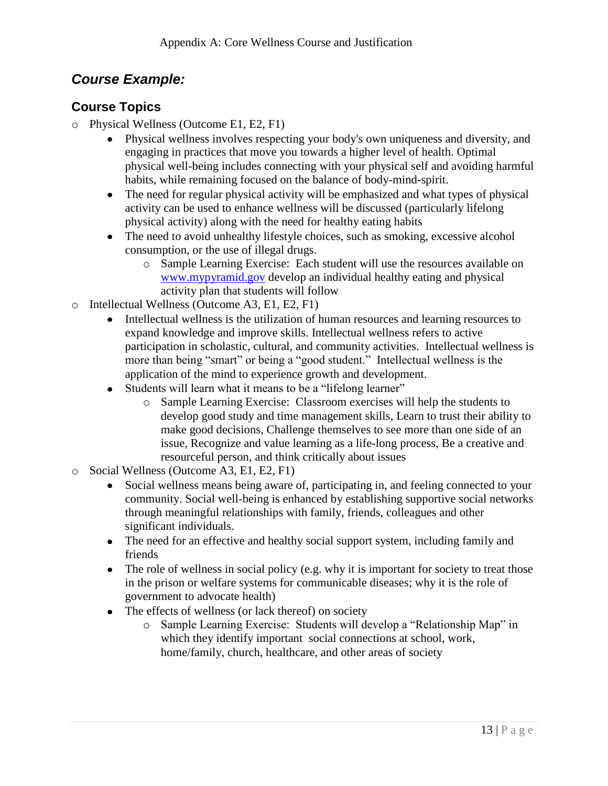# *Course Example:*

#### **Course Topics**

- o Physical Wellness (Outcome E1, E2, F1)
	- Physical wellness involves respecting your body's own uniqueness and diversity, and engaging in practices that move you towards a higher level of health. Optimal physical well-being includes connecting with your physical self and avoiding harmful habits, while remaining focused on the balance of body-mind-spirit.
	- The need for regular physical activity will be emphasized and what types of physical activity can be used to enhance wellness will be discussed (particularly lifelong physical activity) along with the need for healthy eating habits
	- The need to avoid unhealthy lifestyle choices, such as smoking, excessive alcohol consumption, or the use of illegal drugs.
		- o Sample Learning Exercise: Each student will use the resources available on [www.mypyramid.gov](http://www.mypyramid.gov/) develop an individual healthy eating and physical activity plan that students will follow
- o Intellectual Wellness (Outcome A3, E1, E2, F1)
	- Intellectual wellness is the utilization of human resources and learning resources to expand knowledge and improve skills. Intellectual wellness refers to active participation in scholastic, cultural, and community activities. Intellectual wellness is more than being "smart" or being a "good student." Intellectual wellness is the application of the mind to experience growth and development.
	- Students will learn what it means to be a "lifelong learner"
		- o Sample Learning Exercise: Classroom exercises will help the students to develop good study and time management skills, Learn to trust their ability to make good decisions, Challenge themselves to see more than one side of an issue, Recognize and value learning as a life-long process, Be a creative and resourceful person, and think critically about issues
- o Social Wellness (Outcome A3, E1, E2, F1)
	- Social wellness means being aware of, participating in, and feeling connected to your community. Social well-being is enhanced by establishing supportive social networks through meaningful relationships with family, friends, colleagues and other significant individuals.
	- The need for an effective and healthy social support system, including family and friends
	- The role of wellness in social policy (e.g. why it is important for society to treat those in the prison or welfare systems for communicable diseases; why it is the role of government to advocate health)
	- The effects of wellness (or lack thereof) on society
		- o Sample Learning Exercise: Students will develop a "Relationship Map" in which they identify important social connections at school, work, home/family, church, healthcare, and other areas of society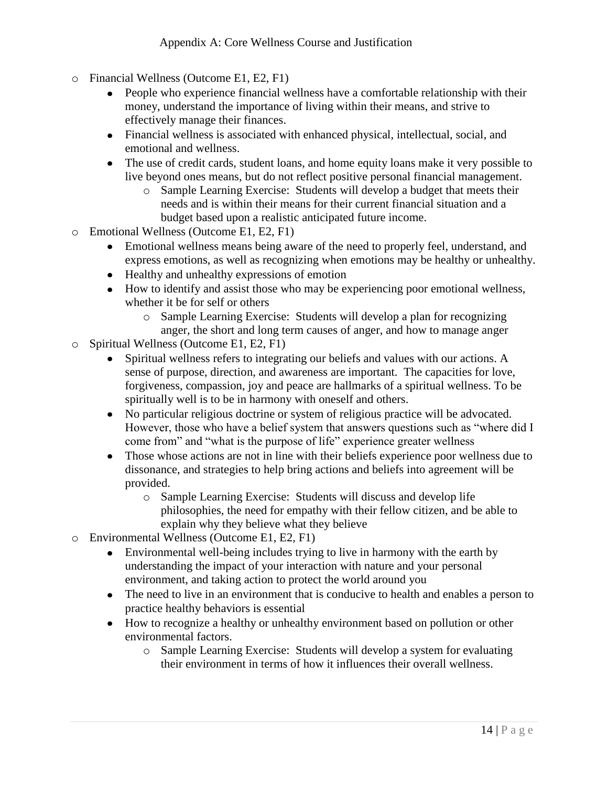- o Financial Wellness (Outcome E1, E2, F1)
	- People who experience financial wellness have a comfortable relationship with their money, understand the importance of living within their means, and strive to effectively manage their finances.
	- Financial wellness is associated with enhanced physical, intellectual, social, and emotional and wellness.
	- The use of credit cards, student loans, and home equity loans make it very possible to live beyond ones means, but do not reflect positive personal financial management.
		- o Sample Learning Exercise: Students will develop a budget that meets their needs and is within their means for their current financial situation and a budget based upon a realistic anticipated future income.
- o Emotional Wellness (Outcome E1, E2, F1)
	- Emotional wellness means being aware of the need to properly feel, understand, and express emotions, as well as recognizing when emotions may be healthy or unhealthy.
	- Healthy and unhealthy expressions of emotion
	- How to identify and assist those who may be experiencing poor emotional wellness, whether it be for self or others
		- o Sample Learning Exercise: Students will develop a plan for recognizing anger, the short and long term causes of anger, and how to manage anger
- o Spiritual Wellness (Outcome E1, E2, F1)
	- Spiritual wellness refers to integrating our beliefs and values with our actions. A sense of purpose, direction, and awareness are important. The capacities for love, forgiveness, compassion, joy and peace are hallmarks of a spiritual wellness. To be spiritually well is to be in harmony with oneself and others.
	- No particular religious doctrine or system of religious practice will be advocated. However, those who have a belief system that answers questions such as "where did I come from" and "what is the purpose of life" experience greater wellness
	- Those whose actions are not in line with their beliefs experience poor wellness due to dissonance, and strategies to help bring actions and beliefs into agreement will be provided.
		- o Sample Learning Exercise: Students will discuss and develop life philosophies, the need for empathy with their fellow citizen, and be able to explain why they believe what they believe
- o Environmental Wellness (Outcome E1, E2, F1)
	- Environmental well-being includes trying to live in harmony with the earth by understanding the impact of your interaction with nature and your personal environment, and taking action to protect the world around you
	- The need to live in an environment that is conducive to health and enables a person to practice healthy behaviors is essential
	- How to recognize a healthy or unhealthy environment based on pollution or other environmental factors.
		- o Sample Learning Exercise: Students will develop a system for evaluating their environment in terms of how it influences their overall wellness.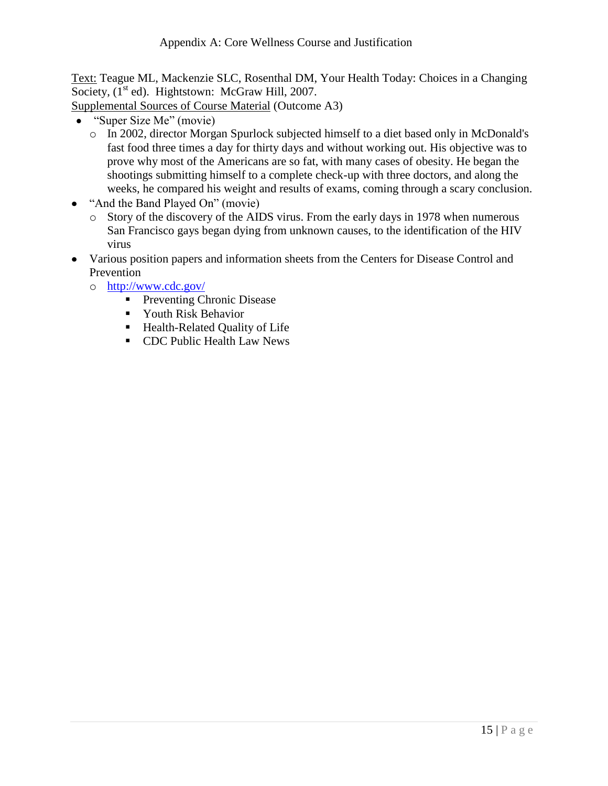Text: Teague ML, Mackenzie SLC, Rosenthal DM, Your Health Today: Choices in a Changing Society, (I<sup>st</sup> ed). Hightstown: McGraw Hill, 2007.

Supplemental Sources of Course Material (Outcome A3)

- "Super Size Me" (movie)
	- o In 2002, director Morgan Spurlock subjected himself to a diet based only in McDonald's fast food three times a day for thirty days and without working out. His objective was to prove why most of the Americans are so fat, with many cases of obesity. He began the shootings submitting himself to a complete check-up with three doctors, and along the weeks, he compared his weight and results of exams, coming through a scary conclusion.
- "And the Band Played On" (movie)
	- o Story of the discovery of the AIDS virus. From the early days in 1978 when numerous San Francisco gays began dying from unknown causes, to the identification of the HIV virus
- Various position papers and information sheets from the Centers for Disease Control and Prevention
	- o <http://www.cdc.gov/>
		- **Preventing Chronic Disease**
		- **Youth Risk Behavior**
		- **Health-Related Quality of Life**
		- **CDC** Public Health Law News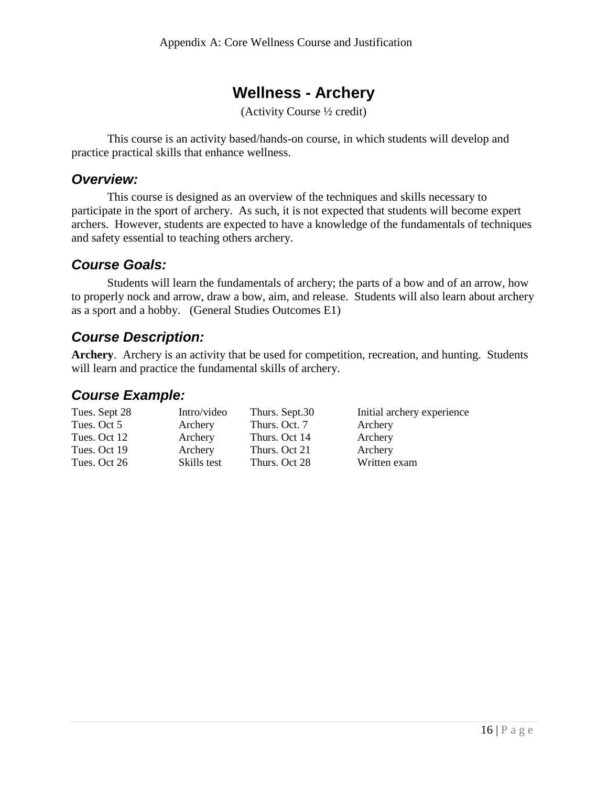# **Wellness - Archery**

(Activity Course ½ credit)

This course is an activity based/hands-on course, in which students will develop and practice practical skills that enhance wellness.

#### *Overview:*

This course is designed as an overview of the techniques and skills necessary to participate in the sport of archery. As such, it is not expected that students will become expert archers. However, students are expected to have a knowledge of the fundamentals of techniques and safety essential to teaching others archery.

#### *Course Goals:*

Students will learn the fundamentals of archery; the parts of a bow and of an arrow, how to properly nock and arrow, draw a bow, aim, and release. Students will also learn about archery as a sport and a hobby. (General Studies Outcomes E1)

## *Course Description:*

**Archery**. Archery is an activity that be used for competition, recreation, and hunting. Students will learn and practice the fundamental skills of archery.

#### *Course Example:*

| Tues. Sept 28 | Intro/video | Thurs. Sept.30 | Initial archery experience |
|---------------|-------------|----------------|----------------------------|
| Tues. Oct 5   | Archery     | Thurs. Oct. 7  | Archery                    |
| Tues. Oct 12  | Archery     | Thurs. Oct 14  | Archery                    |
| Tues. Oct 19  | Archery     | Thurs. Oct 21  | Archery                    |
| Tues. Oct 26  | Skills test | Thurs. Oct 28  | Written exam               |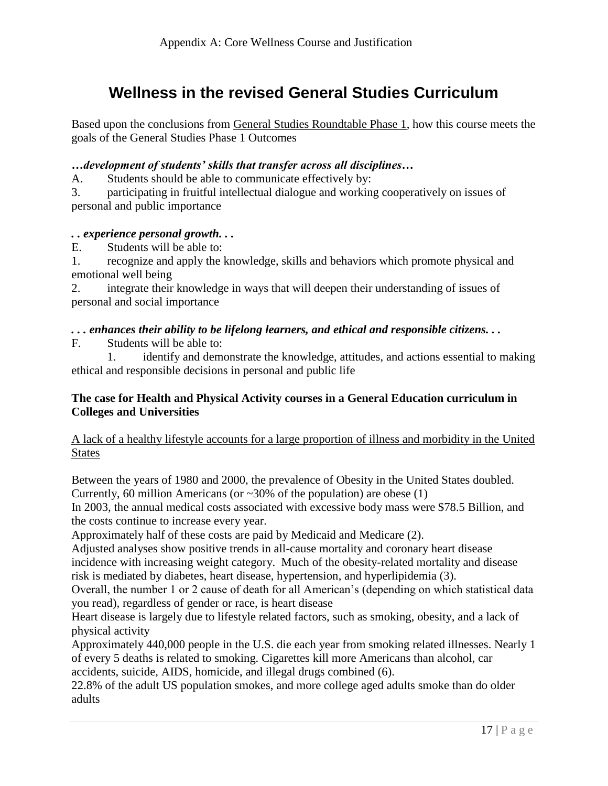# **Wellness in the revised General Studies Curriculum**

Based upon the conclusions from General Studies Roundtable Phase 1, how this course meets the goals of the General Studies Phase 1 Outcomes

#### *…development of students' skills that transfer across all disciplines…*

A. Students should be able to communicate effectively by:

3. participating in fruitful intellectual dialogue and working cooperatively on issues of personal and public importance

#### *. . experience personal growth. . .*

E. Students will be able to:

1. recognize and apply the knowledge, skills and behaviors which promote physical and emotional well being

2. integrate their knowledge in ways that will deepen their understanding of issues of personal and social importance

#### *. . . enhances their ability to be lifelong learners, and ethical and responsible citizens. . .*

F. Students will be able to:

1. identify and demonstrate the knowledge, attitudes, and actions essential to making ethical and responsible decisions in personal and public life

#### **The case for Health and Physical Activity courses in a General Education curriculum in Colleges and Universities**

#### A lack of a healthy lifestyle accounts for a large proportion of illness and morbidity in the United **States**

Between the years of 1980 and 2000, the prevalence of Obesity in the United States doubled. Currently, 60 million Americans (or  $\sim 30\%$  of the population) are obese (1)

In 2003, the annual medical costs associated with excessive body mass were \$78.5 Billion, and the costs continue to increase every year.

Approximately half of these costs are paid by Medicaid and Medicare (2).

Adjusted analyses show positive trends in all-cause mortality and coronary heart disease incidence with increasing weight category. Much of the obesity-related mortality and disease risk is mediated by diabetes, heart disease, hypertension, and hyperlipidemia (3).

Overall, the number 1 or 2 cause of death for all American's (depending on which statistical data you read), regardless of gender or race, is heart disease

Heart disease is largely due to lifestyle related factors, such as smoking, obesity, and a lack of physical activity

Approximately 440,000 people in the U.S. die each year from smoking related illnesses. Nearly 1 of every 5 deaths is related to smoking. Cigarettes kill more Americans than alcohol, car accidents, suicide, AIDS, homicide, and illegal drugs combined (6).

22.8% of the adult US population smokes, and more college aged adults smoke than do older adults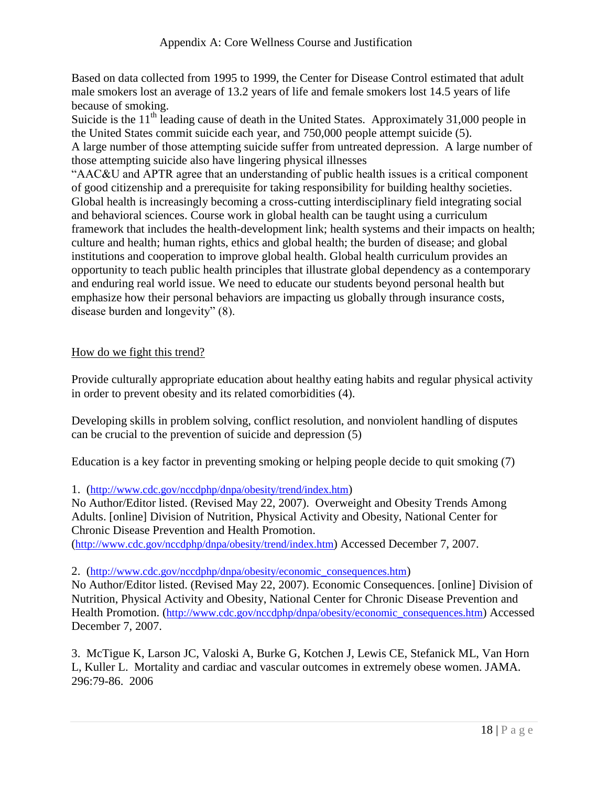Based on data collected from 1995 to 1999, the Center for Disease Control estimated that adult male smokers lost an average of 13.2 years of life and female smokers lost 14.5 years of life because of smoking.

Suicide is the  $11<sup>th</sup>$  leading cause of death in the United States. Approximately 31,000 people in the United States commit suicide each year, and 750,000 people attempt suicide (5). A large number of those attempting suicide suffer from untreated depression. A large number of those attempting suicide also have lingering physical illnesses

"AAC&U and APTR agree that an understanding of public health issues is a critical component of good citizenship and a prerequisite for taking responsibility for building healthy societies. Global health is increasingly becoming a cross-cutting interdisciplinary field integrating social and behavioral sciences. Course work in global health can be taught using a curriculum framework that includes the health-development link; health systems and their impacts on health; culture and health; human rights, ethics and global health; the burden of disease; and global institutions and cooperation to improve global health. Global health curriculum provides an opportunity to teach public health principles that illustrate global dependency as a contemporary and enduring real world issue. We need to educate our students beyond personal health but emphasize how their personal behaviors are impacting us globally through insurance costs, disease burden and longevity" (8).

#### How do we fight this trend?

Provide culturally appropriate education about healthy eating habits and regular physical activity in order to prevent obesity and its related comorbidities (4).

Developing skills in problem solving, conflict resolution, and nonviolent handling of disputes can be crucial to the prevention of suicide and depression (5)

Education is a key factor in preventing smoking or helping people decide to quit smoking (7)

1. (<http://www.cdc.gov/nccdphp/dnpa/obesity/trend/index.htm>)

No Author/Editor listed. (Revised May 22, 2007). Overweight and Obesity Trends Among Adults. [online] Division of Nutrition, Physical Activity and Obesity, National Center for Chronic Disease Prevention and Health Promotion.

(<http://www.cdc.gov/nccdphp/dnpa/obesity/trend/index.htm>) Accessed December 7, 2007.

#### 2. ([http://www.cdc.gov/nccdphp/dnpa/obesity/economic\\_consequences.htm](http://www.cdc.gov/nccdphp/dnpa/obesity/economic_consequences.htm))

No Author/Editor listed. (Revised May 22, 2007). Economic Consequences. [online] Division of Nutrition, Physical Activity and Obesity, National Center for Chronic Disease Prevention and Health Promotion. ([http://www.cdc.gov/nccdphp/dnpa/obesity/economic\\_consequences.htm](http://www.cdc.gov/nccdphp/dnpa/obesity/economic_consequences.htm)) Accessed December 7, 2007.

3. McTigue K, Larson JC, Valoski A, Burke G, Kotchen J, Lewis CE, Stefanick ML, Van Horn L, Kuller L. Mortality and cardiac and vascular outcomes in extremely obese women. JAMA. 296:79-86. 2006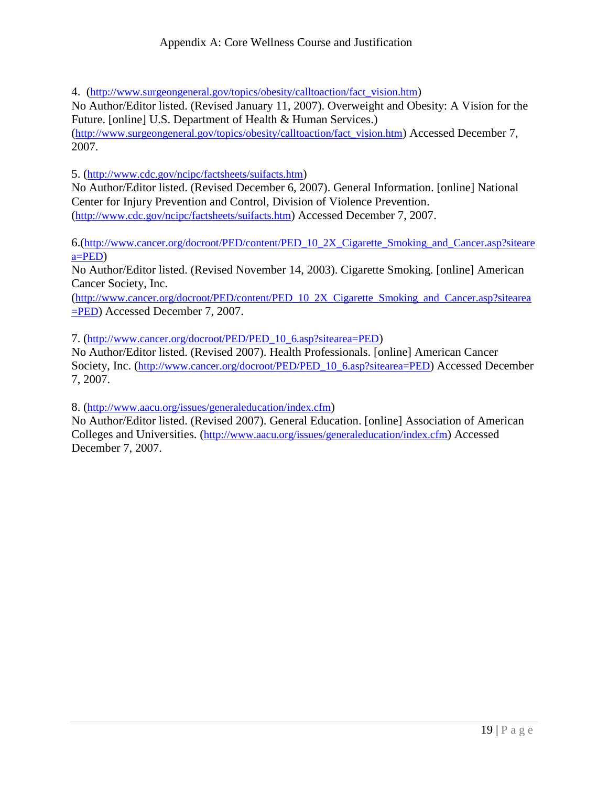4. ([http://www.surgeongeneral.gov/topics/obesity/calltoaction/fact\\_vision.htm](http://www.surgeongeneral.gov/topics/obesity/calltoaction/fact_vision.htm))

No Author/Editor listed. (Revised January 11, 2007). Overweight and Obesity: A Vision for the Future. [online] U.S. Department of Health & Human Services.) ([http://www.surgeongeneral.gov/topics/obesity/calltoaction/fact\\_vision.htm](http://www.surgeongeneral.gov/topics/obesity/calltoaction/fact_vision.htm)) Accessed December 7, 2007.

5. (<http://www.cdc.gov/ncipc/factsheets/suifacts.htm>)

No Author/Editor listed. (Revised December 6, 2007). General Information. [online] National Center for Injury Prevention and Control, Division of Violence Prevention. (<http://www.cdc.gov/ncipc/factsheets/suifacts.htm>) Accessed December 7, 2007.

6.([http://www.cancer.org/docroot/PED/content/PED\\_10\\_2X\\_Cigarette\\_Smoking\\_and\\_Cancer.asp?siteare](http://www.cancer.org/docroot/PED/content/PED_10_2X_Cigarette_Smoking_and_Cancer.asp?sitearea=PED) [a=PED](http://www.cancer.org/docroot/PED/content/PED_10_2X_Cigarette_Smoking_and_Cancer.asp?sitearea=PED))

No Author/Editor listed. (Revised November 14, 2003). Cigarette Smoking. [online] American Cancer Society, Inc.

([http://www.cancer.org/docroot/PED/content/PED\\_10\\_2X\\_Cigarette\\_Smoking\\_and\\_Cancer.asp?sitearea](http://www.cancer.org/docroot/PED/content/PED_10_2X_Cigarette_Smoking_and_Cancer.asp?sitearea=PED) [=PED](http://www.cancer.org/docroot/PED/content/PED_10_2X_Cigarette_Smoking_and_Cancer.asp?sitearea=PED)) Accessed December 7, 2007.

7. ([http://www.cancer.org/docroot/PED/PED\\_10\\_6.asp?sitearea=PED](http://www.cancer.org/docroot/PED/PED_10_6.asp?sitearea=PED))

No Author/Editor listed. (Revised 2007). Health Professionals. [online] American Cancer Society, Inc. ([http://www.cancer.org/docroot/PED/PED\\_10\\_6.asp?sitearea=PED](http://www.cancer.org/docroot/PED/PED_10_6.asp?sitearea=PED)) Accessed December 7, 2007.

8. (<http://www.aacu.org/issues/generaleducation/index.cfm>)

No Author/Editor listed. (Revised 2007). General Education. [online] Association of American Colleges and Universities. (<http://www.aacu.org/issues/generaleducation/index.cfm>) Accessed December 7, 2007.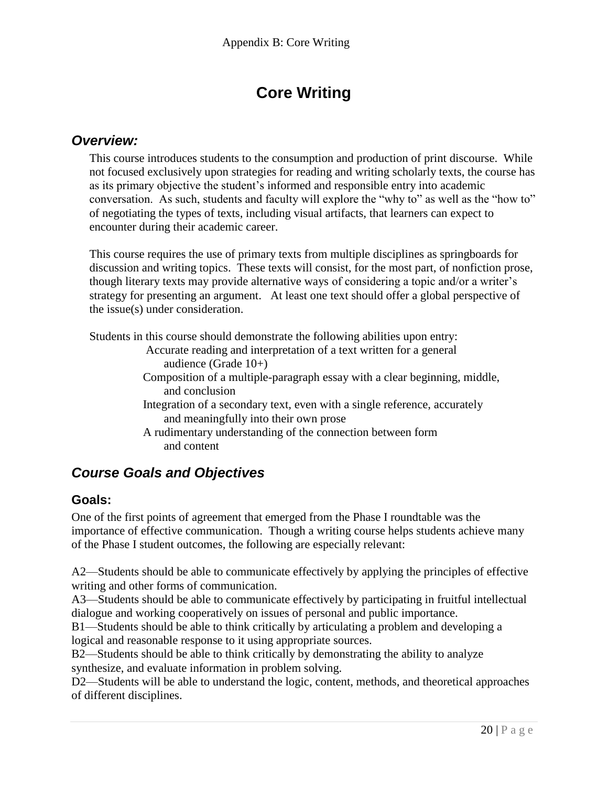# **Core Writing**

#### *Overview:*

This course introduces students to the consumption and production of print discourse. While not focused exclusively upon strategies for reading and writing scholarly texts, the course has as its primary objective the student's informed and responsible entry into academic conversation. As such, students and faculty will explore the "why to" as well as the "how to" of negotiating the types of texts, including visual artifacts, that learners can expect to encounter during their academic career.

This course requires the use of primary texts from multiple disciplines as springboards for discussion and writing topics. These texts will consist, for the most part, of nonfiction prose, though literary texts may provide alternative ways of considering a topic and/or a writer's strategy for presenting an argument. At least one text should offer a global perspective of the issue(s) under consideration.

Students in this course should demonstrate the following abilities upon entry:

- Accurate reading and interpretation of a text written for a general audience (Grade 10+)
- Composition of a multiple-paragraph essay with a clear beginning, middle, and conclusion
- Integration of a secondary text, even with a single reference, accurately and meaningfully into their own prose
- A rudimentary understanding of the connection between form and content

## *Course Goals and Objectives*

#### **Goals:**

One of the first points of agreement that emerged from the Phase I roundtable was the importance of effective communication. Though a writing course helps students achieve many of the Phase I student outcomes, the following are especially relevant:

A2—Students should be able to communicate effectively by applying the principles of effective writing and other forms of communication.

A3—Students should be able to communicate effectively by participating in fruitful intellectual dialogue and working cooperatively on issues of personal and public importance.

B1—Students should be able to think critically by articulating a problem and developing a logical and reasonable response to it using appropriate sources.

B2—Students should be able to think critically by demonstrating the ability to analyze synthesize, and evaluate information in problem solving.

D2—Students will be able to understand the logic, content, methods, and theoretical approaches of different disciplines.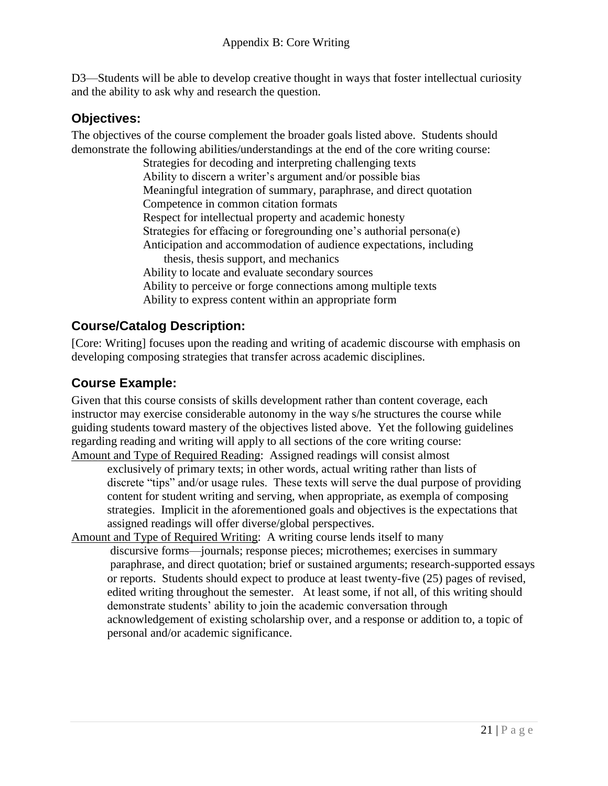D3—Students will be able to develop creative thought in ways that foster intellectual curiosity and the ability to ask why and research the question.

#### **Objectives:**

The objectives of the course complement the broader goals listed above. Students should demonstrate the following abilities/understandings at the end of the core writing course:

> Strategies for decoding and interpreting challenging texts Ability to discern a writer's argument and/or possible bias Meaningful integration of summary, paraphrase, and direct quotation Competence in common citation formats Respect for intellectual property and academic honesty Strategies for effacing or foregrounding one's authorial persona(e) Anticipation and accommodation of audience expectations, including thesis, thesis support, and mechanics Ability to locate and evaluate secondary sources Ability to perceive or forge connections among multiple texts Ability to express content within an appropriate form

#### **Course/Catalog Description:**

[Core: Writing] focuses upon the reading and writing of academic discourse with emphasis on developing composing strategies that transfer across academic disciplines.

#### **Course Example:**

Given that this course consists of skills development rather than content coverage, each instructor may exercise considerable autonomy in the way s/he structures the course while guiding students toward mastery of the objectives listed above. Yet the following guidelines regarding reading and writing will apply to all sections of the core writing course: Amount and Type of Required Reading: Assigned readings will consist almost

exclusively of primary texts; in other words, actual writing rather than lists of discrete "tips" and/or usage rules. These texts will serve the dual purpose of providing content for student writing and serving, when appropriate, as exempla of composing strategies. Implicit in the aforementioned goals and objectives is the expectations that assigned readings will offer diverse/global perspectives.

Amount and Type of Required Writing: A writing course lends itself to many discursive forms—journals; response pieces; microthemes; exercises in summary paraphrase, and direct quotation; brief or sustained arguments; research-supported essays or reports. Students should expect to produce at least twenty-five (25) pages of revised, edited writing throughout the semester. At least some, if not all, of this writing should demonstrate students' ability to join the academic conversation through acknowledgement of existing scholarship over, and a response or addition to, a topic of personal and/or academic significance.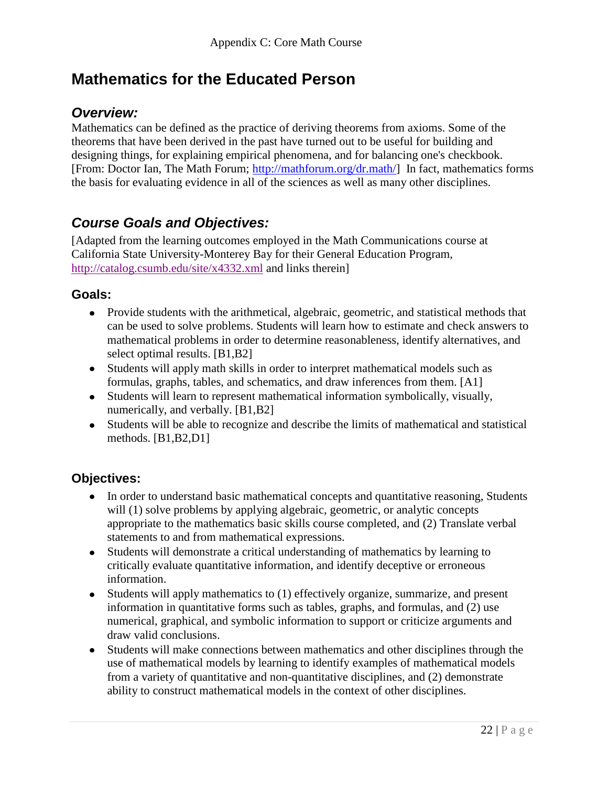# **Mathematics for the Educated Person**

#### *Overview:*

Mathematics can be defined as the practice of deriving theorems from axioms. Some of the theorems that have been derived in the past have turned out to be useful for building and designing things, for explaining empirical phenomena, and for balancing one's checkbook. [From: Doctor Ian, The Math Forum; [http://mathforum.org/dr.math/\]](http://mathforum.org/dr.math/) In fact, mathematics forms the basis for evaluating evidence in all of the sciences as well as many other disciplines.

## *Course Goals and Objectives:*

[Adapted from the learning outcomes employed in the Math Communications course at California State University-Monterey Bay for their General Education Program, <http://catalog.csumb.edu/site/x4332.xml> and links therein]

#### **Goals:**

- Provide students with the arithmetical, algebraic, geometric, and statistical methods that can be used to solve problems. Students will learn how to estimate and check answers to mathematical problems in order to determine reasonableness, identify alternatives, and select optimal results. [B1,B2]
- Students will apply math skills in order to interpret mathematical models such as formulas, graphs, tables, and schematics, and draw inferences from them. [A1]
- Students will learn to represent mathematical information symbolically, visually, numerically, and verbally. [B1,B2]
- Students will be able to recognize and describe the limits of mathematical and statistical methods. [B1,B2,D1]

#### **Objectives:**

- In order to understand basic mathematical concepts and quantitative reasoning, Students will (1) solve problems by applying algebraic, geometric, or analytic concepts appropriate to the mathematics basic skills course completed, and (2) Translate verbal statements to and from mathematical expressions.
- Students will demonstrate a critical understanding of mathematics by learning to critically evaluate quantitative information, and identify deceptive or erroneous information.
- Students will apply mathematics to (1) effectively organize, summarize, and present information in quantitative forms such as tables, graphs, and formulas, and (2) use numerical, graphical, and symbolic information to support or criticize arguments and draw valid conclusions.
- Students will make connections between mathematics and other disciplines through the use of mathematical models by learning to identify examples of mathematical models from a variety of quantitative and non-quantitative disciplines, and (2) demonstrate ability to construct mathematical models in the context of other disciplines.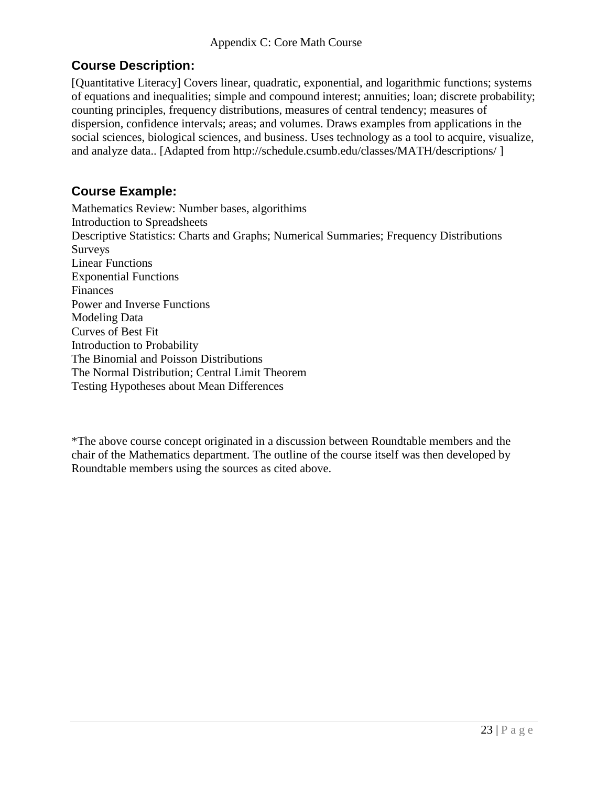#### **Course Description:**

[Quantitative Literacy] Covers linear, quadratic, exponential, and logarithmic functions; systems of equations and inequalities; simple and compound interest; annuities; loan; discrete probability; counting principles, frequency distributions, measures of central tendency; measures of dispersion, confidence intervals; areas; and volumes. Draws examples from applications in the social sciences, biological sciences, and business. Uses technology as a tool to acquire, visualize, and analyze data.. [Adapted from http://schedule.csumb.edu/classes/MATH/descriptions/ ]

#### **Course Example:**

Mathematics Review: Number bases, algorithims Introduction to Spreadsheets Descriptive Statistics: Charts and Graphs; Numerical Summaries; Frequency Distributions Surveys Linear Functions Exponential Functions Finances Power and Inverse Functions Modeling Data Curves of Best Fit Introduction to Probability The Binomial and Poisson Distributions The Normal Distribution; Central Limit Theorem Testing Hypotheses about Mean Differences

\*The above course concept originated in a discussion between Roundtable members and the chair of the Mathematics department. The outline of the course itself was then developed by Roundtable members using the sources as cited above.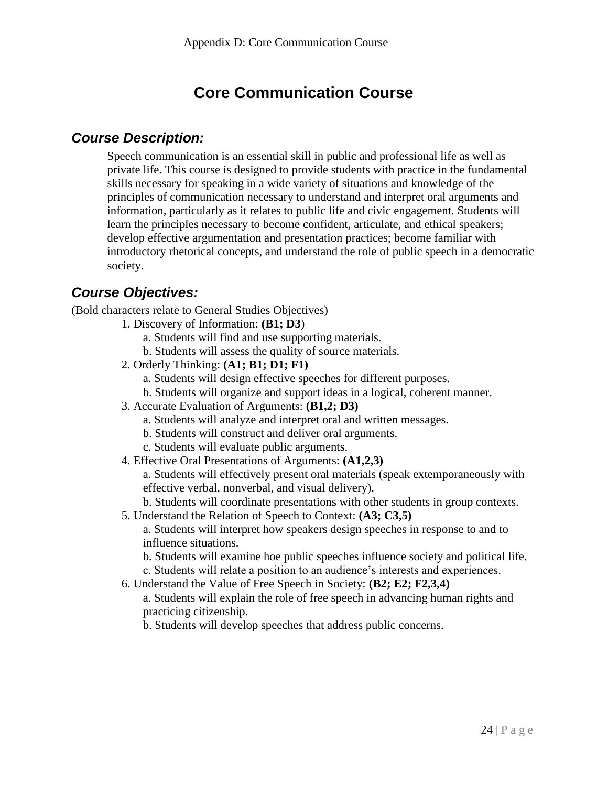# **Core Communication Course**

#### *Course Description:*

Speech communication is an essential skill in public and professional life as well as private life. This course is designed to provide students with practice in the fundamental skills necessary for speaking in a wide variety of situations and knowledge of the principles of communication necessary to understand and interpret oral arguments and information, particularly as it relates to public life and civic engagement. Students will learn the principles necessary to become confident, articulate, and ethical speakers; develop effective argumentation and presentation practices; become familiar with introductory rhetorical concepts, and understand the role of public speech in a democratic society.

## *Course Objectives:*

(Bold characters relate to General Studies Objectives)

- 1. Discovery of Information: **(B1; D3**)
	- a. Students will find and use supporting materials.
	- b. Students will assess the quality of source materials.
- 2. Orderly Thinking: **(A1; B1; D1; F1)** 
	- a. Students will design effective speeches for different purposes.
	- b. Students will organize and support ideas in a logical, coherent manner.
- 3. Accurate Evaluation of Arguments: **(B1,2; D3)** 
	- a. Students will analyze and interpret oral and written messages.
	- b. Students will construct and deliver oral arguments.
	- c. Students will evaluate public arguments.
- 4. Effective Oral Presentations of Arguments: **(A1,2,3)**

a. Students will effectively present oral materials (speak extemporaneously with effective verbal, nonverbal, and visual delivery).

b. Students will coordinate presentations with other students in group contexts.

5. Understand the Relation of Speech to Context: **(A3; C3,5)** 

a. Students will interpret how speakers design speeches in response to and to influence situations.

- b. Students will examine hoe public speeches influence society and political life.
- c. Students will relate a position to an audience's interests and experiences.
- 6. Understand the Value of Free Speech in Society: **(B2; E2; F2,3,4)**

a. Students will explain the role of free speech in advancing human rights and practicing citizenship.

b. Students will develop speeches that address public concerns.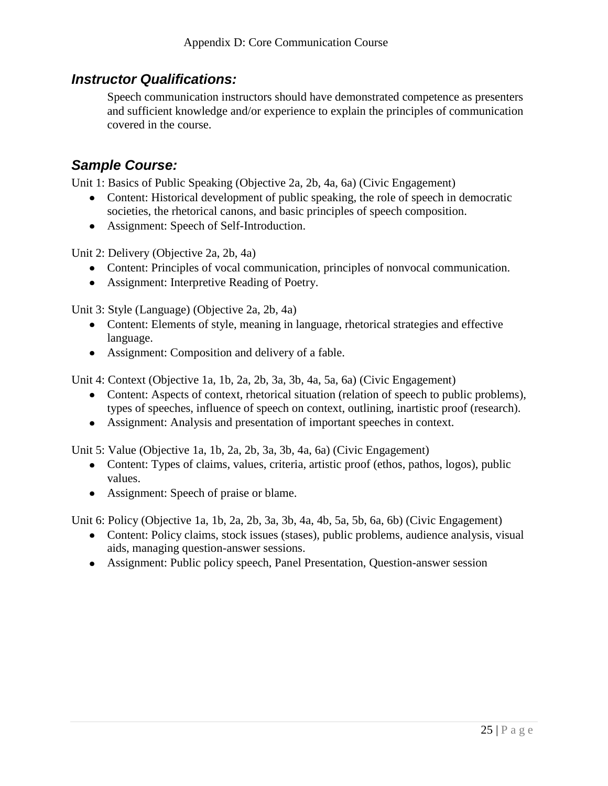#### *Instructor Qualifications:*

Speech communication instructors should have demonstrated competence as presenters and sufficient knowledge and/or experience to explain the principles of communication covered in the course.

# *Sample Course:*

Unit 1: Basics of Public Speaking (Objective 2a, 2b, 4a, 6a) (Civic Engagement)

- Content: Historical development of public speaking, the role of speech in democratic societies, the rhetorical canons, and basic principles of speech composition.
- Assignment: Speech of Self-Introduction.

Unit 2: Delivery (Objective 2a, 2b, 4a)

- Content: Principles of vocal communication, principles of nonvocal communication.
- Assignment: Interpretive Reading of Poetry.

Unit 3: Style (Language) (Objective 2a, 2b, 4a)

- Content: Elements of style, meaning in language, rhetorical strategies and effective language.
- Assignment: Composition and delivery of a fable.

Unit 4: Context (Objective 1a, 1b, 2a, 2b, 3a, 3b, 4a, 5a, 6a) (Civic Engagement)

- Content: Aspects of context, rhetorical situation (relation of speech to public problems), types of speeches, influence of speech on context, outlining, inartistic proof (research).
- Assignment: Analysis and presentation of important speeches in context.

Unit 5: Value (Objective 1a, 1b, 2a, 2b, 3a, 3b, 4a, 6a) (Civic Engagement)

- Content: Types of claims, values, criteria, artistic proof (ethos, pathos, logos), public values.
- Assignment: Speech of praise or blame.

Unit 6: Policy (Objective 1a, 1b, 2a, 2b, 3a, 3b, 4a, 4b, 5a, 5b, 6a, 6b) (Civic Engagement)

- Content: Policy claims, stock issues (stases), public problems, audience analysis, visual aids, managing question-answer sessions.
- Assignment: Public policy speech, Panel Presentation, Question-answer session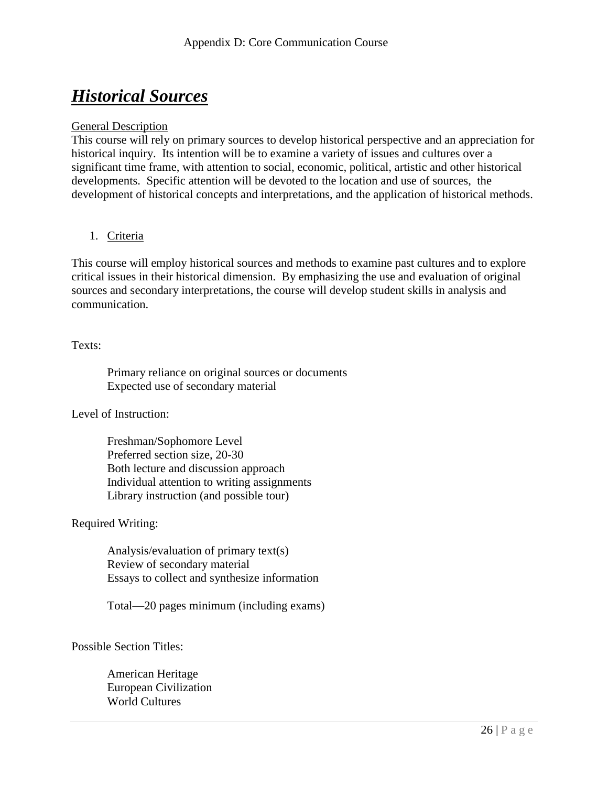# *Historical Sources*

#### General Description

This course will rely on primary sources to develop historical perspective and an appreciation for historical inquiry. Its intention will be to examine a variety of issues and cultures over a significant time frame, with attention to social, economic, political, artistic and other historical developments. Specific attention will be devoted to the location and use of sources, the development of historical concepts and interpretations, and the application of historical methods.

#### 1. Criteria

This course will employ historical sources and methods to examine past cultures and to explore critical issues in their historical dimension. By emphasizing the use and evaluation of original sources and secondary interpretations, the course will develop student skills in analysis and communication.

#### Texts:

Primary reliance on original sources or documents Expected use of secondary material

Level of Instruction:

Freshman/Sophomore Level Preferred section size, 20-30 Both lecture and discussion approach Individual attention to writing assignments Library instruction (and possible tour)

#### Required Writing:

Analysis/evaluation of primary text(s) Review of secondary material Essays to collect and synthesize information

Total—20 pages minimum (including exams)

Possible Section Titles:

American Heritage European Civilization World Cultures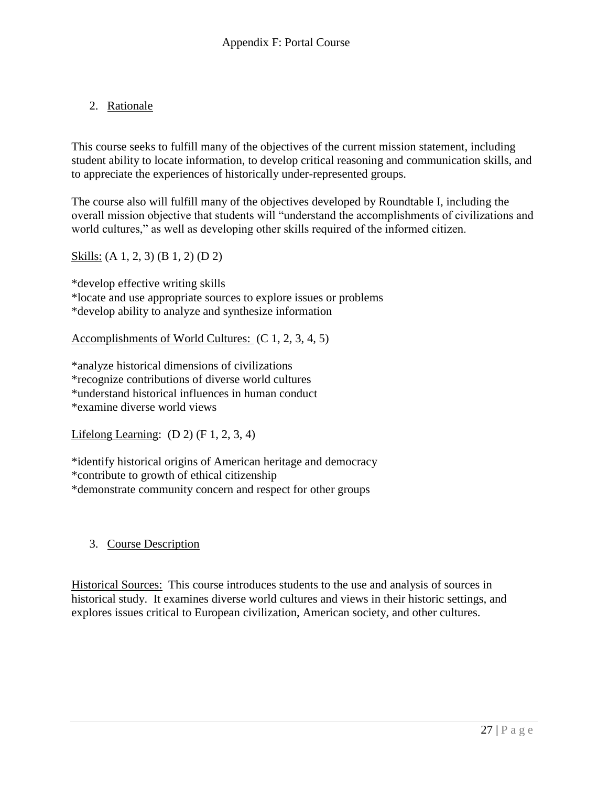#### 2. Rationale

This course seeks to fulfill many of the objectives of the current mission statement, including student ability to locate information, to develop critical reasoning and communication skills, and to appreciate the experiences of historically under-represented groups.

The course also will fulfill many of the objectives developed by Roundtable I, including the overall mission objective that students will "understand the accomplishments of civilizations and world cultures," as well as developing other skills required of the informed citizen.

Skills: (A 1, 2, 3) (B 1, 2) (D 2)

\*develop effective writing skills \*locate and use appropriate sources to explore issues or problems \*develop ability to analyze and synthesize information

Accomplishments of World Cultures: (C 1, 2, 3, 4, 5)

\*analyze historical dimensions of civilizations \*recognize contributions of diverse world cultures \*understand historical influences in human conduct \*examine diverse world views

Lifelong Learning:  $(D 2)$   $(F 1, 2, 3, 4)$ 

\*identify historical origins of American heritage and democracy \*contribute to growth of ethical citizenship \*demonstrate community concern and respect for other groups

#### 3. Course Description

Historical Sources: This course introduces students to the use and analysis of sources in historical study. It examines diverse world cultures and views in their historic settings, and explores issues critical to European civilization, American society, and other cultures.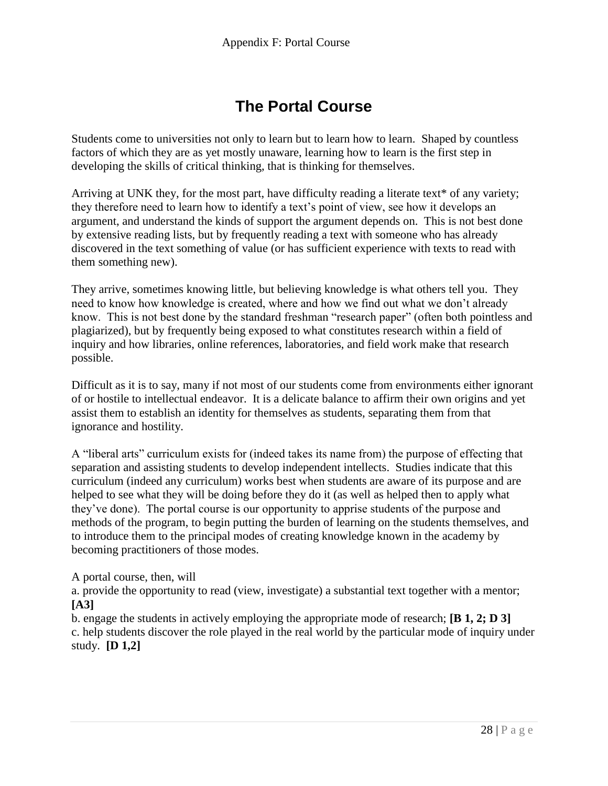# **The Portal Course**

Students come to universities not only to learn but to learn how to learn. Shaped by countless factors of which they are as yet mostly unaware, learning how to learn is the first step in developing the skills of critical thinking, that is thinking for themselves.

Arriving at UNK they, for the most part, have difficulty reading a literate text\* of any variety; they therefore need to learn how to identify a text's point of view, see how it develops an argument, and understand the kinds of support the argument depends on. This is not best done by extensive reading lists, but by frequently reading a text with someone who has already discovered in the text something of value (or has sufficient experience with texts to read with them something new).

They arrive, sometimes knowing little, but believing knowledge is what others tell you. They need to know how knowledge is created, where and how we find out what we don't already know. This is not best done by the standard freshman "research paper" (often both pointless and plagiarized), but by frequently being exposed to what constitutes research within a field of inquiry and how libraries, online references, laboratories, and field work make that research possible.

Difficult as it is to say, many if not most of our students come from environments either ignorant of or hostile to intellectual endeavor. It is a delicate balance to affirm their own origins and yet assist them to establish an identity for themselves as students, separating them from that ignorance and hostility.

A "liberal arts" curriculum exists for (indeed takes its name from) the purpose of effecting that separation and assisting students to develop independent intellects. Studies indicate that this curriculum (indeed any curriculum) works best when students are aware of its purpose and are helped to see what they will be doing before they do it (as well as helped then to apply what they've done). The portal course is our opportunity to apprise students of the purpose and methods of the program, to begin putting the burden of learning on the students themselves, and to introduce them to the principal modes of creating knowledge known in the academy by becoming practitioners of those modes.

A portal course, then, will

a. provide the opportunity to read (view, investigate) a substantial text together with a mentor; **[A3]**

b. engage the students in actively employing the appropriate mode of research; **[B 1, 2; D 3]** c. help students discover the role played in the real world by the particular mode of inquiry under study. **[D 1,2]**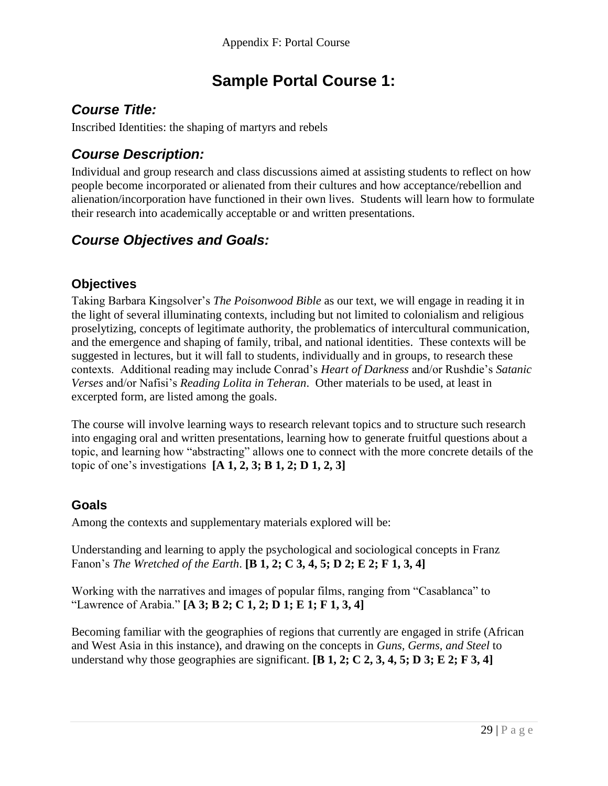# **Sample Portal Course 1:**

# *Course Title:*

Inscribed Identities: the shaping of martyrs and rebels

# *Course Description:*

Individual and group research and class discussions aimed at assisting students to reflect on how people become incorporated or alienated from their cultures and how acceptance/rebellion and alienation/incorporation have functioned in their own lives. Students will learn how to formulate their research into academically acceptable or and written presentations.

# *Course Objectives and Goals:*

#### **Objectives**

Taking Barbara Kingsolver's *The Poisonwood Bible* as our text, we will engage in reading it in the light of several illuminating contexts, including but not limited to colonialism and religious proselytizing, concepts of legitimate authority, the problematics of intercultural communication, and the emergence and shaping of family, tribal, and national identities. These contexts will be suggested in lectures, but it will fall to students, individually and in groups, to research these contexts. Additional reading may include Conrad's *Heart of Darkness* and/or Rushdie's *Satanic Verses* and/or Nafisi's *Reading Lolita in Teheran*. Other materials to be used, at least in excerpted form, are listed among the goals.

The course will involve learning ways to research relevant topics and to structure such research into engaging oral and written presentations, learning how to generate fruitful questions about a topic, and learning how "abstracting" allows one to connect with the more concrete details of the topic of one's investigations **[A 1, 2, 3; B 1, 2; D 1, 2, 3]**

#### **Goals**

Among the contexts and supplementary materials explored will be:

Understanding and learning to apply the psychological and sociological concepts in Franz Fanon's *The Wretched of the Earth*. **[B 1, 2; C 3, 4, 5; D 2; E 2; F 1, 3, 4]**

Working with the narratives and images of popular films, ranging from "Casablanca" to "Lawrence of Arabia." **[A 3; B 2; C 1, 2; D 1; E 1; F 1, 3, 4]**

Becoming familiar with the geographies of regions that currently are engaged in strife (African and West Asia in this instance), and drawing on the concepts in *Guns, Germs, and Steel* to understand why those geographies are significant. **[B 1, 2; C 2, 3, 4, 5; D 3; E 2; F 3, 4]**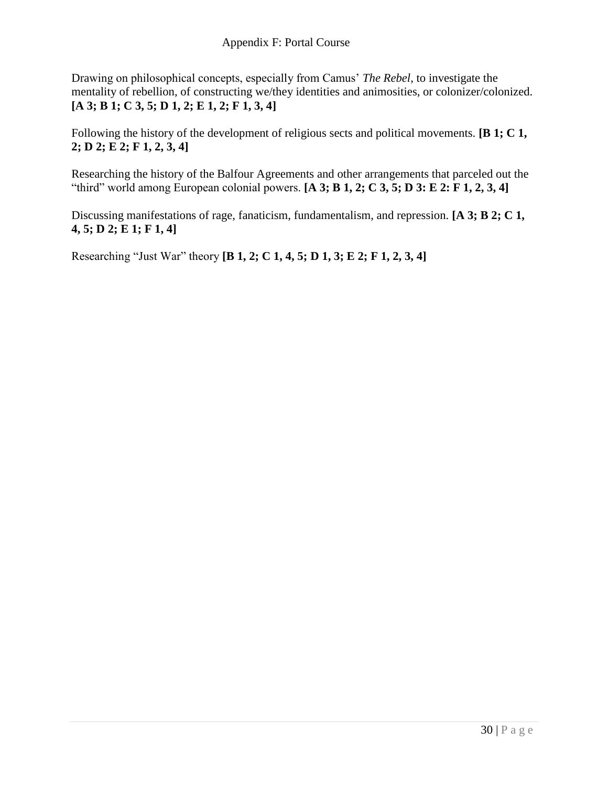Drawing on philosophical concepts, especially from Camus' *The Rebel*, to investigate the mentality of rebellion, of constructing we/they identities and animosities, or colonizer/colonized. **[A 3; B 1; C 3, 5; D 1, 2; E 1, 2; F 1, 3, 4]**

Following the history of the development of religious sects and political movements. **[B 1; C 1, 2; D 2; E 2; F 1, 2, 3, 4]**

Researching the history of the Balfour Agreements and other arrangements that parceled out the "third" world among European colonial powers. **[A 3; B 1, 2; C 3, 5; D 3: E 2: F 1, 2, 3, 4]**

Discussing manifestations of rage, fanaticism, fundamentalism, and repression. **[A 3; B 2; C 1, 4, 5; D 2; E 1; F 1, 4]**

Researching "Just War" theory **[B 1, 2; C 1, 4, 5; D 1, 3; E 2; F 1, 2, 3, 4]**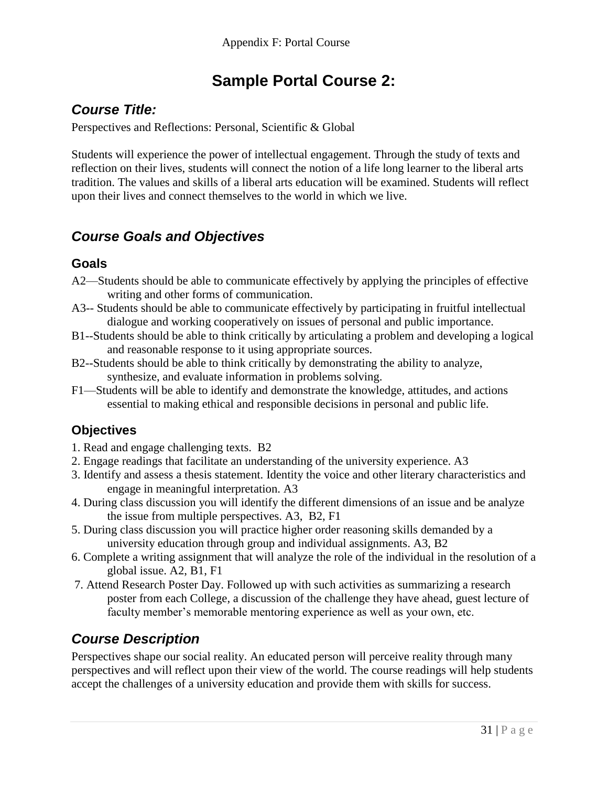# **Sample Portal Course 2:**

# *Course Title:*

Perspectives and Reflections: Personal, Scientific & Global

Students will experience the power of intellectual engagement. Through the study of texts and reflection on their lives, students will connect the notion of a life long learner to the liberal arts tradition. The values and skills of a liberal arts education will be examined. Students will reflect upon their lives and connect themselves to the world in which we live.

## *Course Goals and Objectives*

#### **Goals**

- A2—Students should be able to communicate effectively by applying the principles of effective writing and other forms of communication.
- A3-- Students should be able to communicate effectively by participating in fruitful intellectual dialogue and working cooperatively on issues of personal and public importance.
- B1--Students should be able to think critically by articulating a problem and developing a logical and reasonable response to it using appropriate sources.
- B2--Students should be able to think critically by demonstrating the ability to analyze, synthesize, and evaluate information in problems solving.
- F1—Students will be able to identify and demonstrate the knowledge, attitudes, and actions essential to making ethical and responsible decisions in personal and public life.

## **Objectives**

- 1. Read and engage challenging texts. B2
- 2. Engage readings that facilitate an understanding of the university experience. A3
- 3. Identify and assess a thesis statement. Identity the voice and other literary characteristics and engage in meaningful interpretation. A3
- 4. During class discussion you will identify the different dimensions of an issue and be analyze the issue from multiple perspectives. A3, B2, F1
- 5. During class discussion you will practice higher order reasoning skills demanded by a university education through group and individual assignments. A3, B2
- 6. Complete a writing assignment that will analyze the role of the individual in the resolution of a global issue. A2, B1, F1
- 7. Attend Research Poster Day. Followed up with such activities as summarizing a research poster from each College, a discussion of the challenge they have ahead, guest lecture of faculty member's memorable mentoring experience as well as your own, etc.

# *Course Description*

Perspectives shape our social reality. An educated person will perceive reality through many perspectives and will reflect upon their view of the world. The course readings will help students accept the challenges of a university education and provide them with skills for success.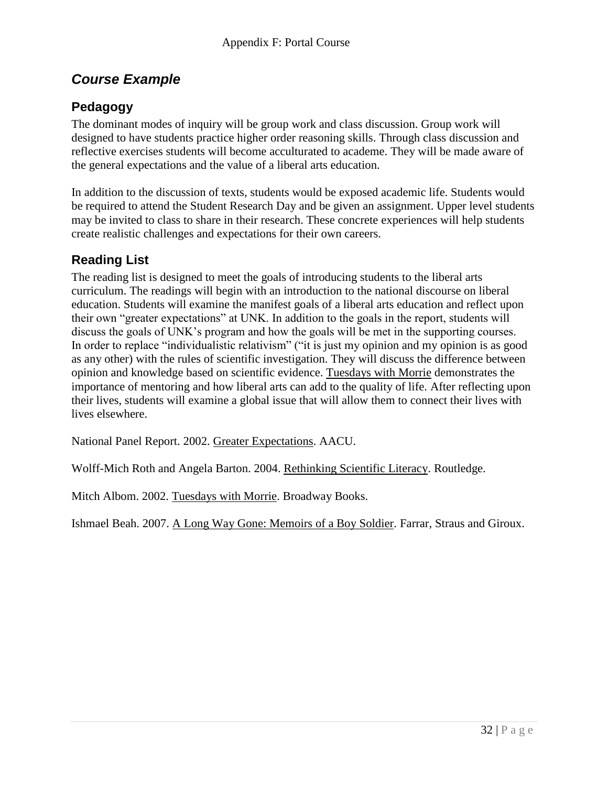# *Course Example*

#### **Pedagogy**

The dominant modes of inquiry will be group work and class discussion. Group work will designed to have students practice higher order reasoning skills. Through class discussion and reflective exercises students will become acculturated to academe. They will be made aware of the general expectations and the value of a liberal arts education.

In addition to the discussion of texts, students would be exposed academic life. Students would be required to attend the Student Research Day and be given an assignment. Upper level students may be invited to class to share in their research. These concrete experiences will help students create realistic challenges and expectations for their own careers.

#### **Reading List**

The reading list is designed to meet the goals of introducing students to the liberal arts curriculum. The readings will begin with an introduction to the national discourse on liberal education. Students will examine the manifest goals of a liberal arts education and reflect upon their own "greater expectations" at UNK. In addition to the goals in the report, students will discuss the goals of UNK's program and how the goals will be met in the supporting courses. In order to replace "individualistic relativism" ("it is just my opinion and my opinion is as good as any other) with the rules of scientific investigation. They will discuss the difference between opinion and knowledge based on scientific evidence. Tuesdays with Morrie demonstrates the importance of mentoring and how liberal arts can add to the quality of life. After reflecting upon their lives, students will examine a global issue that will allow them to connect their lives with lives elsewhere.

National Panel Report. 2002. Greater Expectations. AACU.

Wolff-Mich Roth and Angela Barton. 2004. Rethinking Scientific Literacy. Routledge.

Mitch Albom. 2002. Tuesdays with Morrie. Broadway Books.

Ishmael Beah. 2007. A Long Way Gone: Memoirs of a Boy Soldier. Farrar, Straus and Giroux.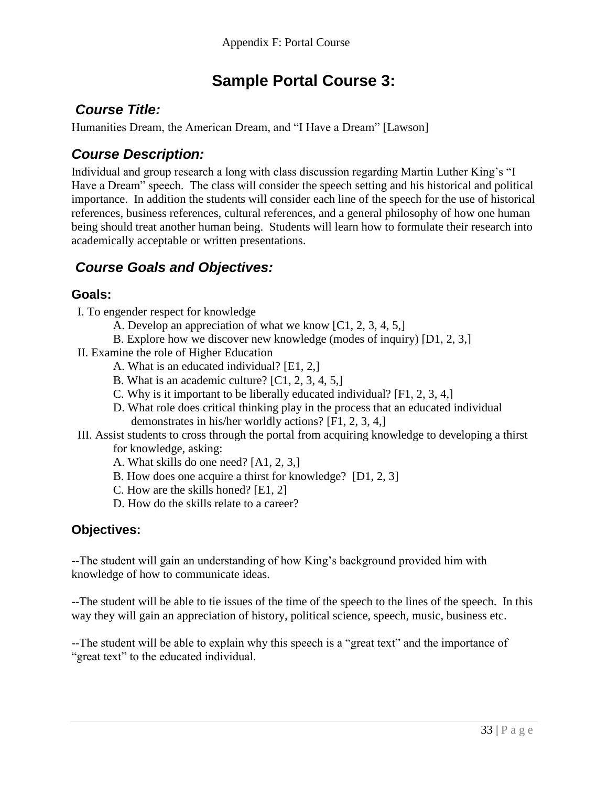# **Sample Portal Course 3:**

# *Course Title:*

Humanities Dream, the American Dream, and "I Have a Dream" [Lawson]

# *Course Description:*

Individual and group research a long with class discussion regarding Martin Luther King's "I Have a Dream" speech. The class will consider the speech setting and his historical and political importance. In addition the students will consider each line of the speech for the use of historical references, business references, cultural references, and a general philosophy of how one human being should treat another human being. Students will learn how to formulate their research into academically acceptable or written presentations.

# *Course Goals and Objectives:*

#### **Goals:**

- I. To engender respect for knowledge
	- A. Develop an appreciation of what we know [C1, 2, 3, 4, 5,]
	- B. Explore how we discover new knowledge (modes of inquiry) [D1, 2, 3,]
- II. Examine the role of Higher Education
	- A. What is an educated individual? [E1, 2,]
	- B. What is an academic culture? [C1, 2, 3, 4, 5,]
	- C. Why is it important to be liberally educated individual? [F1, 2, 3, 4,]
	- D. What role does critical thinking play in the process that an educated individual demonstrates in his/her worldly actions? [F1, 2, 3, 4,]
- III. Assist students to cross through the portal from acquiring knowledge to developing a thirst for knowledge, asking:
	- A. What skills do one need? [A1, 2, 3,]
	- B. How does one acquire a thirst for knowledge? [D1, 2, 3]
	- C. How are the skills honed? [E1, 2]
	- D. How do the skills relate to a career?

#### **Objectives:**

--The student will gain an understanding of how King's background provided him with knowledge of how to communicate ideas.

--The student will be able to tie issues of the time of the speech to the lines of the speech. In this way they will gain an appreciation of history, political science, speech, music, business etc.

--The student will be able to explain why this speech is a "great text" and the importance of "great text" to the educated individual.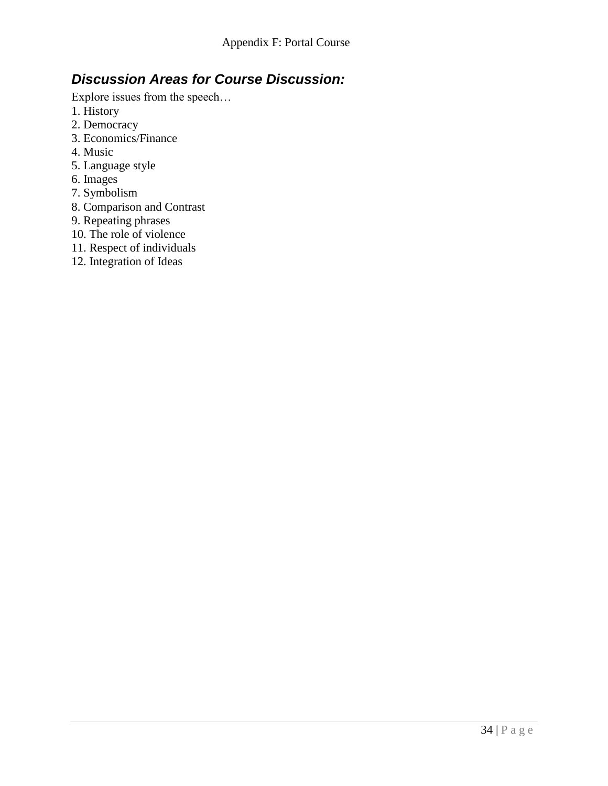# *Discussion Areas for Course Discussion:*

Explore issues from the speech…

- 1. History
- 2. Democracy
- 3. Economics/Finance
- 4. Music
- 5. Language style
- 6. Images
- 7. Symbolism
- 8. Comparison and Contrast
- 9. Repeating phrases
- 10. The role of violence
- 11. Respect of individuals
- 12. Integration of Ideas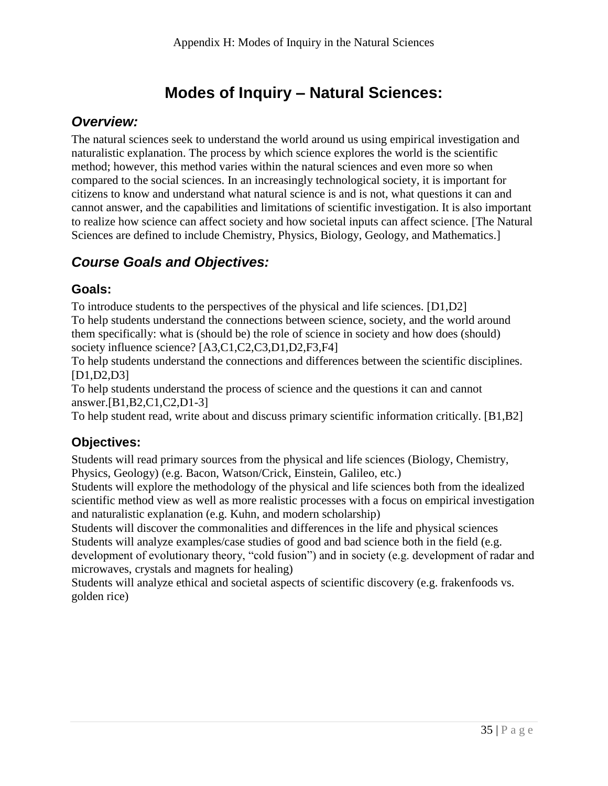# **Modes of Inquiry – Natural Sciences:**

## *Overview:*

The natural sciences seek to understand the world around us using empirical investigation and naturalistic explanation. The process by which science explores the world is the scientific method; however, this method varies within the natural sciences and even more so when compared to the social sciences. In an increasingly technological society, it is important for citizens to know and understand what natural science is and is not, what questions it can and cannot answer, and the capabilities and limitations of scientific investigation. It is also important to realize how science can affect society and how societal inputs can affect science. [The Natural Sciences are defined to include Chemistry, Physics, Biology, Geology, and Mathematics.]

# *Course Goals and Objectives:*

#### **Goals:**

To introduce students to the perspectives of the physical and life sciences. [D1,D2] To help students understand the connections between science, society, and the world around them specifically: what is (should be) the role of science in society and how does (should) society influence science? [A3,C1,C2,C3,D1,D2,F3,F4]

To help students understand the connections and differences between the scientific disciplines. [D1,D2,D3]

To help students understand the process of science and the questions it can and cannot answer.[B1,B2,C1,C2,D1-3]

To help student read, write about and discuss primary scientific information critically. [B1,B2]

## **Objectives:**

Students will read primary sources from the physical and life sciences (Biology, Chemistry, Physics, Geology) (e.g. Bacon, Watson/Crick, Einstein, Galileo, etc.)

Students will explore the methodology of the physical and life sciences both from the idealized scientific method view as well as more realistic processes with a focus on empirical investigation and naturalistic explanation (e.g. Kuhn, and modern scholarship)

Students will discover the commonalities and differences in the life and physical sciences Students will analyze examples/case studies of good and bad science both in the field (e.g. development of evolutionary theory, "cold fusion") and in society (e.g. development of radar and microwaves, crystals and magnets for healing)

Students will analyze ethical and societal aspects of scientific discovery (e.g. frakenfoods vs. golden rice)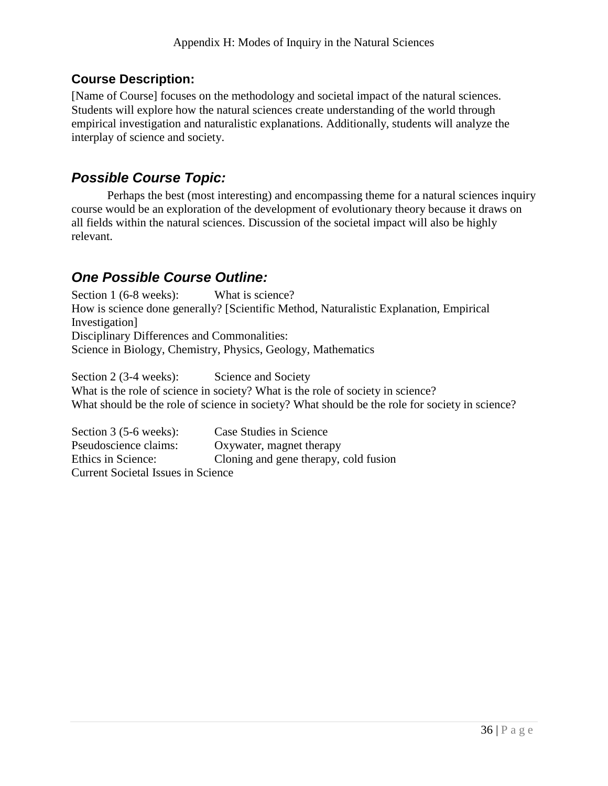#### **Course Description:**

[Name of Course] focuses on the methodology and societal impact of the natural sciences. Students will explore how the natural sciences create understanding of the world through empirical investigation and naturalistic explanations. Additionally, students will analyze the interplay of science and society.

## *Possible Course Topic:*

Perhaps the best (most interesting) and encompassing theme for a natural sciences inquiry course would be an exploration of the development of evolutionary theory because it draws on all fields within the natural sciences. Discussion of the societal impact will also be highly relevant.

# *One Possible Course Outline:*

Section 1 (6-8 weeks): What is science? How is science done generally? [Scientific Method, Naturalistic Explanation, Empirical Investigation] Disciplinary Differences and Commonalities: Science in Biology, Chemistry, Physics, Geology, Mathematics

Section 2 (3-4 weeks): Science and Society What is the role of science in society? What is the role of society in science? What should be the role of science in society? What should be the role for society in science?

Section 3 (5-6 weeks): Case Studies in Science Pseudoscience claims: Oxywater, magnet therapy Ethics in Science: Cloning and gene therapy, cold fusion Current Societal Issues in Science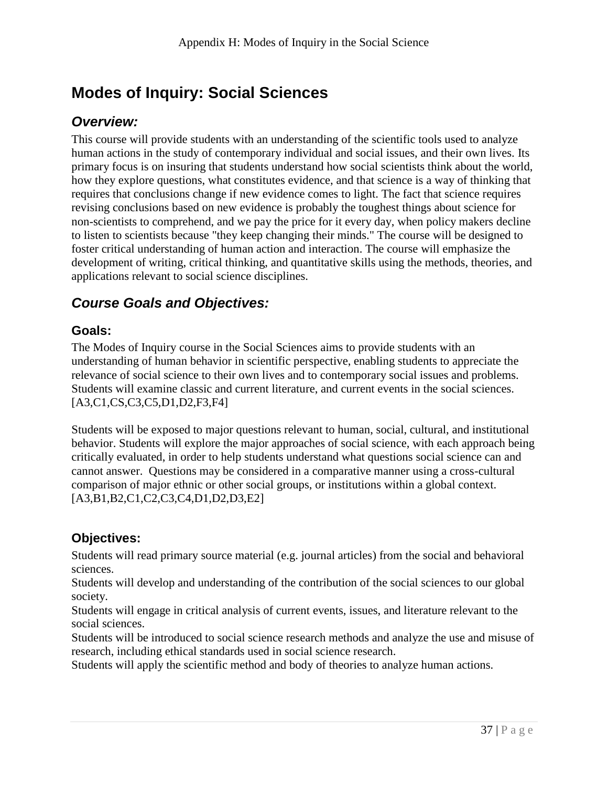# **Modes of Inquiry: Social Sciences**

## *Overview:*

This course will provide students with an understanding of the scientific tools used to analyze human actions in the study of contemporary individual and social issues, and their own lives. Its primary focus is on insuring that students understand how social scientists think about the world, how they explore questions, what constitutes evidence, and that science is a way of thinking that requires that conclusions change if new evidence comes to light. The fact that science requires revising conclusions based on new evidence is probably the toughest things about science for non-scientists to comprehend, and we pay the price for it every day, when policy makers decline to listen to scientists because "they keep changing their minds." The course will be designed to foster critical understanding of human action and interaction. The course will emphasize the development of writing, critical thinking, and quantitative skills using the methods, theories, and applications relevant to social science disciplines.

# *Course Goals and Objectives:*

#### **Goals:**

The Modes of Inquiry course in the Social Sciences aims to provide students with an understanding of human behavior in scientific perspective, enabling students to appreciate the relevance of social science to their own lives and to contemporary social issues and problems. Students will examine classic and current literature, and current events in the social sciences. [A3,C1,CS,C3,C5,D1,D2,F3,F4]

Students will be exposed to major questions relevant to human, social, cultural, and institutional behavior. Students will explore the major approaches of social science, with each approach being critically evaluated, in order to help students understand what questions social science can and cannot answer. Questions may be considered in a comparative manner using a cross-cultural comparison of major ethnic or other social groups, or institutions within a global context. [A3,B1,B2,C1,C2,C3,C4,D1,D2,D3,E2]

#### **Objectives:**

Students will read primary source material (e.g. journal articles) from the social and behavioral sciences.

Students will develop and understanding of the contribution of the social sciences to our global society.

Students will engage in critical analysis of current events, issues, and literature relevant to the social sciences.

Students will be introduced to social science research methods and analyze the use and misuse of research, including ethical standards used in social science research.

Students will apply the scientific method and body of theories to analyze human actions.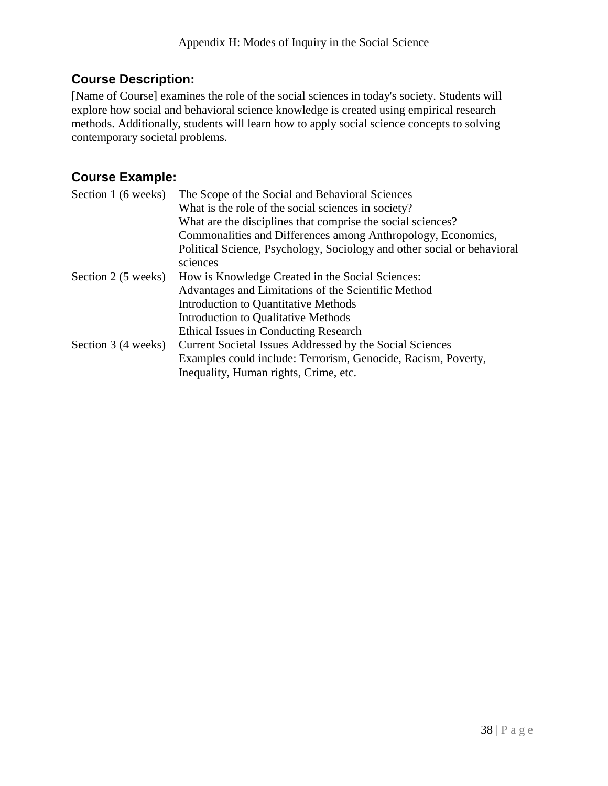#### **Course Description:**

[Name of Course] examines the role of the social sciences in today's society. Students will explore how social and behavioral science knowledge is created using empirical research methods. Additionally, students will learn how to apply social science concepts to solving contemporary societal problems.

#### **Course Example:**

| The Scope of the Social and Behavioral Sciences                                     |
|-------------------------------------------------------------------------------------|
| What is the role of the social sciences in society?                                 |
| What are the disciplines that comprise the social sciences?                         |
| Commonalities and Differences among Anthropology, Economics,                        |
| Political Science, Psychology, Sociology and other social or behavioral<br>sciences |
| How is Knowledge Created in the Social Sciences:                                    |
| Advantages and Limitations of the Scientific Method                                 |
| Introduction to Quantitative Methods                                                |
| Introduction to Qualitative Methods                                                 |
| Ethical Issues in Conducting Research                                               |
| Current Societal Issues Addressed by the Social Sciences                            |
| Examples could include: Terrorism, Genocide, Racism, Poverty,                       |
| Inequality, Human rights, Crime, etc.                                               |
|                                                                                     |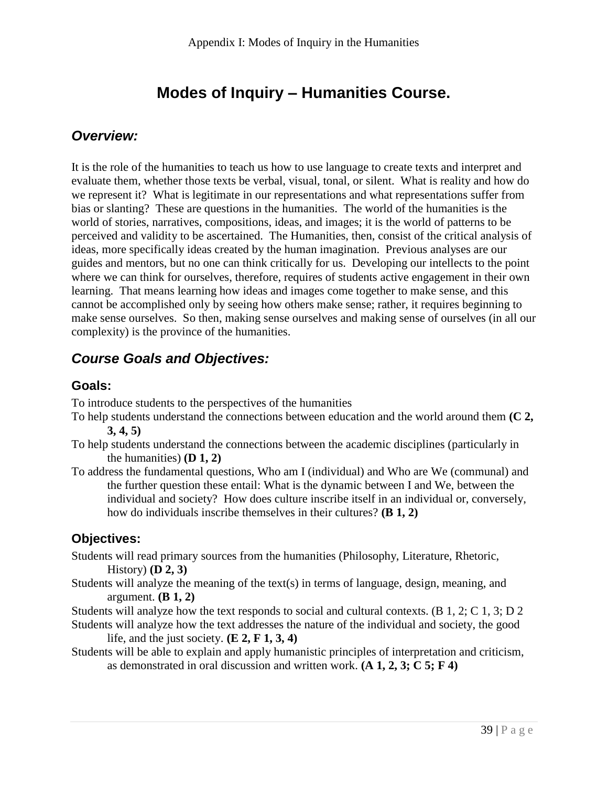# **Modes of Inquiry – Humanities Course.**

## *Overview:*

It is the role of the humanities to teach us how to use language to create texts and interpret and evaluate them, whether those texts be verbal, visual, tonal, or silent. What is reality and how do we represent it? What is legitimate in our representations and what representations suffer from bias or slanting? These are questions in the humanities. The world of the humanities is the world of stories, narratives, compositions, ideas, and images; it is the world of patterns to be perceived and validity to be ascertained. The Humanities, then, consist of the critical analysis of ideas, more specifically ideas created by the human imagination. Previous analyses are our guides and mentors, but no one can think critically for us. Developing our intellects to the point where we can think for ourselves, therefore, requires of students active engagement in their own learning. That means learning how ideas and images come together to make sense, and this cannot be accomplished only by seeing how others make sense; rather, it requires beginning to make sense ourselves. So then, making sense ourselves and making sense of ourselves (in all our complexity) is the province of the humanities.

# *Course Goals and Objectives:*

#### **Goals:**

To introduce students to the perspectives of the humanities

- To help students understand the connections between education and the world around them **(C 2, 3, 4, 5)**
- To help students understand the connections between the academic disciplines (particularly in the humanities)  $(D 1, 2)$
- To address the fundamental questions, Who am I (individual) and Who are We (communal) and the further question these entail: What is the dynamic between I and We, between the individual and society? How does culture inscribe itself in an individual or, conversely, how do individuals inscribe themselves in their cultures? **(B 1, 2)**

#### **Objectives:**

- Students will read primary sources from the humanities (Philosophy, Literature, Rhetoric, History) **(D 2, 3)**
- Students will analyze the meaning of the text(s) in terms of language, design, meaning, and argument. **(B 1, 2)**

Students will analyze how the text responds to social and cultural contexts. (B 1, 2; C 1, 3; D 2 Students will analyze how the text addresses the nature of the individual and society, the good

life, and the just society. **(E 2, F 1, 3, 4)**

Students will be able to explain and apply humanistic principles of interpretation and criticism, as demonstrated in oral discussion and written work. **(A 1, 2, 3; C 5; F 4)**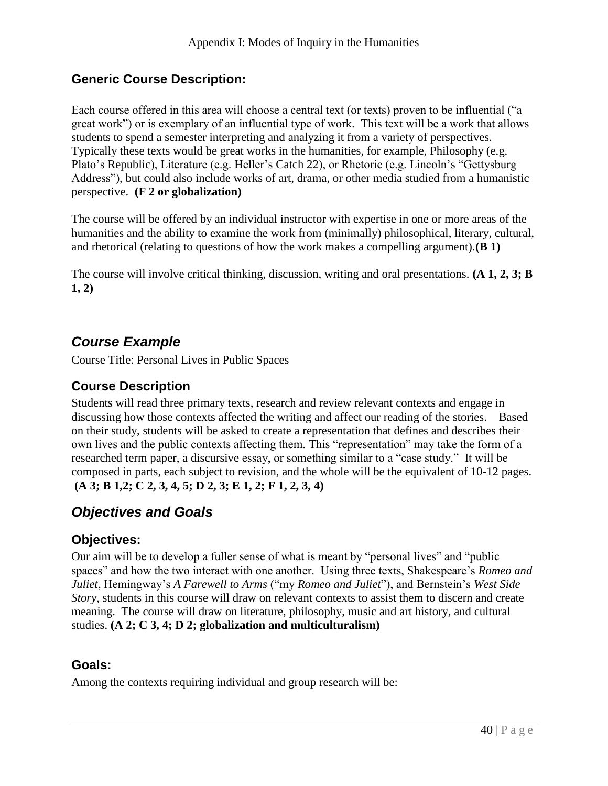#### **Generic Course Description:**

Each course offered in this area will choose a central text (or texts) proven to be influential ("a great work") or is exemplary of an influential type of work. This text will be a work that allows students to spend a semester interpreting and analyzing it from a variety of perspectives. Typically these texts would be great works in the humanities, for example, Philosophy (e.g. Plato's Republic), Literature (e.g. Heller's Catch 22), or Rhetoric (e.g. Lincoln's "Gettysburg Address"), but could also include works of art, drama, or other media studied from a humanistic perspective. **(F 2 or globalization)**

The course will be offered by an individual instructor with expertise in one or more areas of the humanities and the ability to examine the work from (minimally) philosophical, literary, cultural, and rhetorical (relating to questions of how the work makes a compelling argument).**(B 1)**

The course will involve critical thinking, discussion, writing and oral presentations. **(A 1, 2, 3; B 1, 2)**

## *Course Example*

Course Title: Personal Lives in Public Spaces

#### **Course Description**

Students will read three primary texts, research and review relevant contexts and engage in discussing how those contexts affected the writing and affect our reading of the stories. Based on their study, students will be asked to create a representation that defines and describes their own lives and the public contexts affecting them. This "representation" may take the form of a researched term paper, a discursive essay, or something similar to a "case study." It will be composed in parts, each subject to revision, and the whole will be the equivalent of 10-12 pages. **(A 3; B 1,2; C 2, 3, 4, 5; D 2, 3; E 1, 2; F 1, 2, 3, 4)**

# *Objectives and Goals*

#### **Objectives:**

Our aim will be to develop a fuller sense of what is meant by "personal lives" and "public spaces" and how the two interact with one another. Using three texts, Shakespeare's *Romeo and Juliet*, Hemingway's *A Farewell to Arms* ("my *Romeo and Juliet*"), and Bernstein's *West Side Story*, students in this course will draw on relevant contexts to assist them to discern and create meaning. The course will draw on literature, philosophy, music and art history, and cultural studies. **(A 2; C 3, 4; D 2; globalization and multiculturalism)**

#### **Goals:**

Among the contexts requiring individual and group research will be: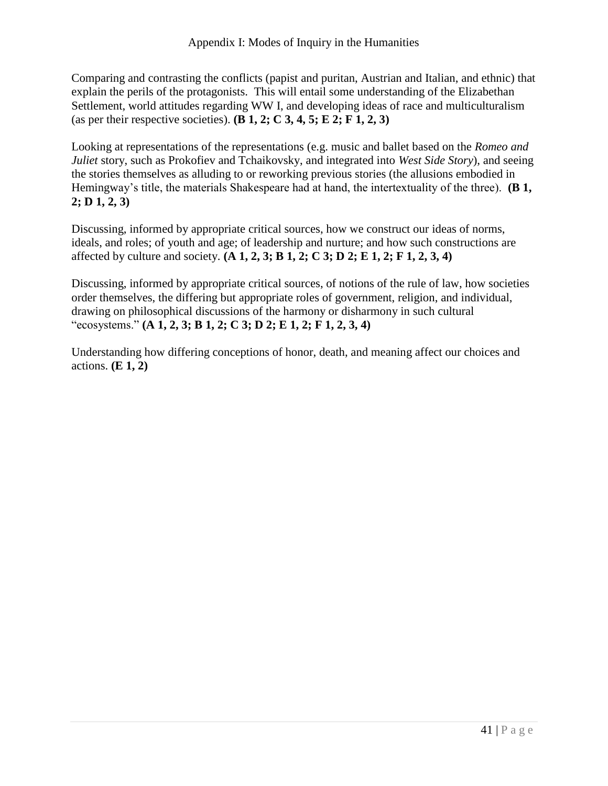Comparing and contrasting the conflicts (papist and puritan, Austrian and Italian, and ethnic) that explain the perils of the protagonists. This will entail some understanding of the Elizabethan Settlement, world attitudes regarding WW I, and developing ideas of race and multiculturalism (as per their respective societies). **(B 1, 2; C 3, 4, 5; E 2; F 1, 2, 3)**

Looking at representations of the representations (e.g. music and ballet based on the *Romeo and Juliet* story, such as Prokofiev and Tchaikovsky, and integrated into *West Side Story*), and seeing the stories themselves as alluding to or reworking previous stories (the allusions embodied in Hemingway's title, the materials Shakespeare had at hand, the intertextuality of the three). **(B 1, 2; D 1, 2, 3)**

Discussing, informed by appropriate critical sources, how we construct our ideas of norms, ideals, and roles; of youth and age; of leadership and nurture; and how such constructions are affected by culture and society. **(A 1, 2, 3; B 1, 2; C 3; D 2; E 1, 2; F 1, 2, 3, 4)**

Discussing, informed by appropriate critical sources, of notions of the rule of law, how societies order themselves, the differing but appropriate roles of government, religion, and individual, drawing on philosophical discussions of the harmony or disharmony in such cultural "ecosystems." **(A 1, 2, 3; B 1, 2; C 3; D 2; E 1, 2; F 1, 2, 3, 4)**

Understanding how differing conceptions of honor, death, and meaning affect our choices and actions. **(E 1, 2)**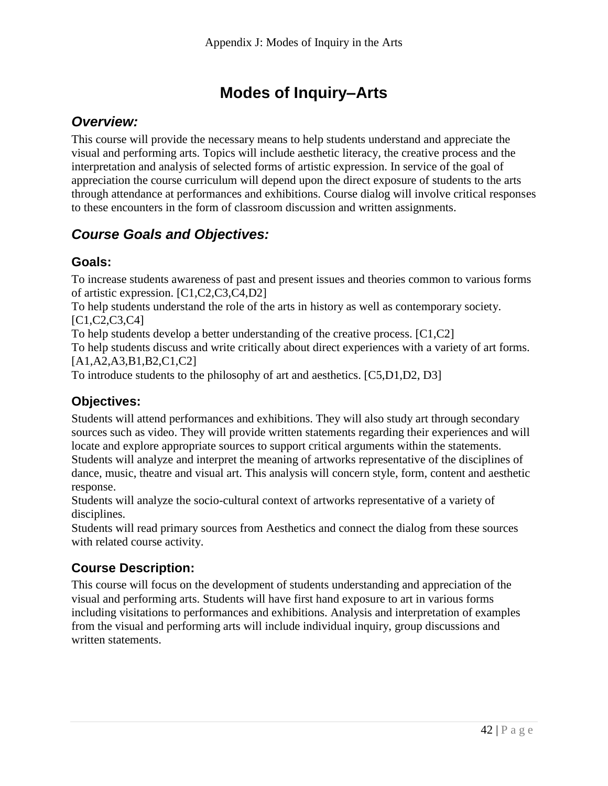# **Modes of Inquiry–Arts**

## *Overview:*

This course will provide the necessary means to help students understand and appreciate the visual and performing arts. Topics will include aesthetic literacy, the creative process and the interpretation and analysis of selected forms of artistic expression. In service of the goal of appreciation the course curriculum will depend upon the direct exposure of students to the arts through attendance at performances and exhibitions. Course dialog will involve critical responses to these encounters in the form of classroom discussion and written assignments.

## *Course Goals and Objectives:*

#### **Goals:**

To increase students awareness of past and present issues and theories common to various forms of artistic expression. [C1,C2,C3,C4,D2]

To help students understand the role of the arts in history as well as contemporary society. [C1,C2,C3,C4]

To help students develop a better understanding of the creative process. [C1,C2]

To help students discuss and write critically about direct experiences with a variety of art forms. [A1,A2,A3,B1,B2,C1,C2]

To introduce students to the philosophy of art and aesthetics. [C5,D1,D2, D3]

## **Objectives:**

Students will attend performances and exhibitions. They will also study art through secondary sources such as video. They will provide written statements regarding their experiences and will locate and explore appropriate sources to support critical arguments within the statements. Students will analyze and interpret the meaning of artworks representative of the disciplines of dance, music, theatre and visual art. This analysis will concern style, form, content and aesthetic response.

Students will analyze the socio-cultural context of artworks representative of a variety of disciplines.

Students will read primary sources from Aesthetics and connect the dialog from these sources with related course activity.

## **Course Description:**

This course will focus on the development of students understanding and appreciation of the visual and performing arts. Students will have first hand exposure to art in various forms including visitations to performances and exhibitions. Analysis and interpretation of examples from the visual and performing arts will include individual inquiry, group discussions and written statements.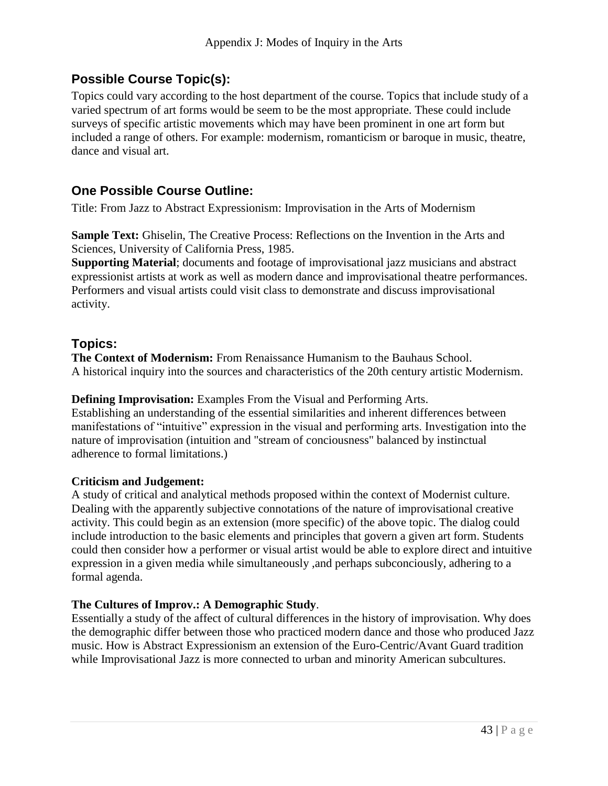#### **Possible Course Topic(s):**

Topics could vary according to the host department of the course. Topics that include study of a varied spectrum of art forms would be seem to be the most appropriate. These could include surveys of specific artistic movements which may have been prominent in one art form but included a range of others. For example: modernism, romanticism or baroque in music, theatre, dance and visual art.

#### **One Possible Course Outline:**

Title: From Jazz to Abstract Expressionism: Improvisation in the Arts of Modernism

**Sample Text:** Ghiselin, The Creative Process: Reflections on the Invention in the Arts and Sciences, University of California Press, 1985.

**Supporting Material**; documents and footage of improvisational jazz musicians and abstract expressionist artists at work as well as modern dance and improvisational theatre performances. Performers and visual artists could visit class to demonstrate and discuss improvisational activity.

#### **Topics:**

**The Context of Modernism:** From Renaissance Humanism to the Bauhaus School. A historical inquiry into the sources and characteristics of the 20th century artistic Modernism.

#### **Defining Improvisation:** Examples From the Visual and Performing Arts.

Establishing an understanding of the essential similarities and inherent differences between manifestations of "intuitive" expression in the visual and performing arts. Investigation into the nature of improvisation (intuition and "stream of conciousness" balanced by instinctual adherence to formal limitations.)

#### **Criticism and Judgement:**

A study of critical and analytical methods proposed within the context of Modernist culture. Dealing with the apparently subjective connotations of the nature of improvisational creative activity. This could begin as an extension (more specific) of the above topic. The dialog could include introduction to the basic elements and principles that govern a given art form. Students could then consider how a performer or visual artist would be able to explore direct and intuitive expression in a given media while simultaneously ,and perhaps subconciously, adhering to a formal agenda.

#### **The Cultures of Improv.: A Demographic Study**.

Essentially a study of the affect of cultural differences in the history of improvisation. Why does the demographic differ between those who practiced modern dance and those who produced Jazz music. How is Abstract Expressionism an extension of the Euro-Centric/Avant Guard tradition while Improvisational Jazz is more connected to urban and minority American subcultures.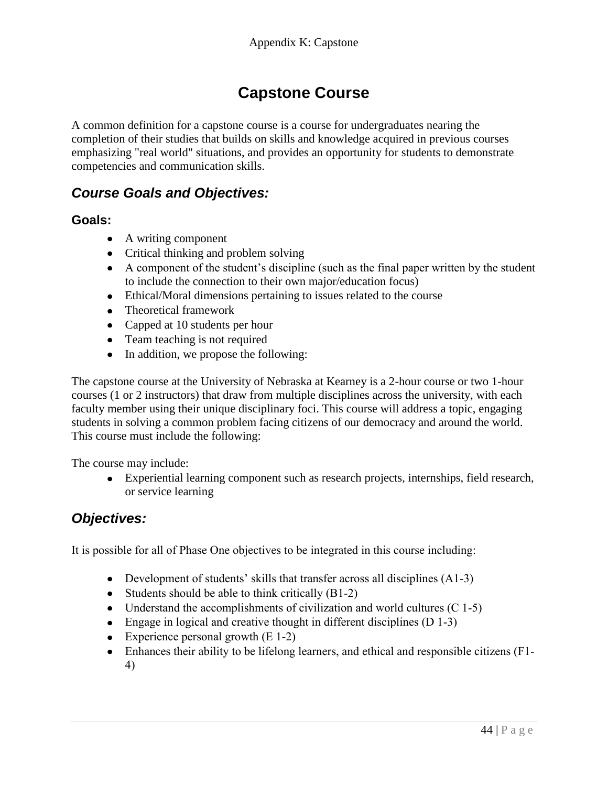# **Capstone Course**

A common definition for a capstone course is a course for undergraduates nearing the completion of their studies that builds on skills and knowledge acquired in previous courses emphasizing "real world" situations, and provides an opportunity for students to demonstrate competencies and communication skills.

#### *Course Goals and Objectives:*

#### **Goals:**

- A writing component
- Critical thinking and problem solving
- A component of the student's discipline (such as the final paper written by the student to include the connection to their own major/education focus)
- Ethical/Moral dimensions pertaining to issues related to the course
- Theoretical framework
- Capped at 10 students per hour
- Team teaching is not required
- In addition, we propose the following:

The capstone course at the University of Nebraska at Kearney is a 2-hour course or two 1-hour courses (1 or 2 instructors) that draw from multiple disciplines across the university, with each faculty member using their unique disciplinary foci. This course will address a topic, engaging students in solving a common problem facing citizens of our democracy and around the world. This course must include the following:

The course may include:

Experiential learning component such as research projects, internships, field research, or service learning

#### *Objectives:*

It is possible for all of Phase One objectives to be integrated in this course including:

- Development of students' skills that transfer across all disciplines  $(A1-3)$
- Students should be able to think critically  $(B1-2)$
- Understand the accomplishments of civilization and world cultures  $(C 1-5)$
- Engage in logical and creative thought in different disciplines  $(D 1-3)$
- Experience personal growth  $(E 1-2)$
- Enhances their ability to be lifelong learners, and ethical and responsible citizens (F1- 4)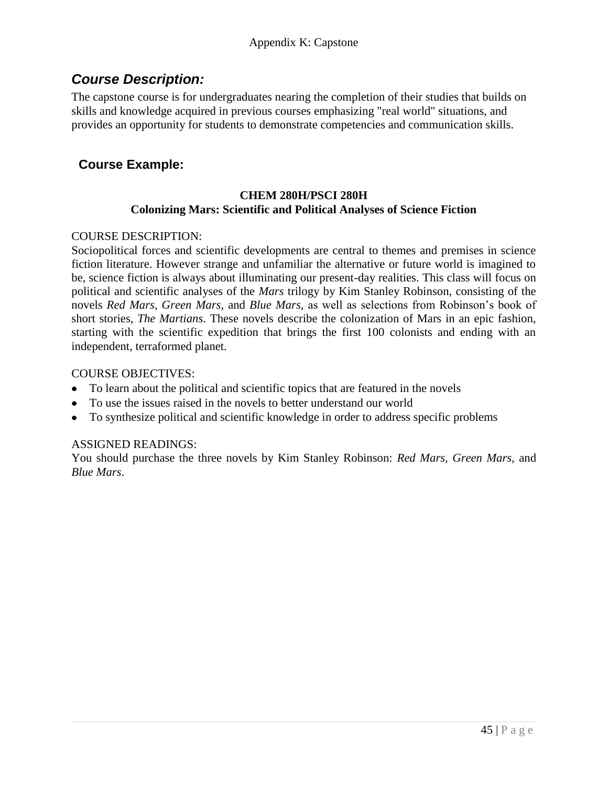## *Course Description:*

The capstone course is for undergraduates nearing the completion of their studies that builds on skills and knowledge acquired in previous courses emphasizing "real world" situations, and provides an opportunity for students to demonstrate competencies and communication skills.

## **Course Example:**

#### **CHEM 280H/PSCI 280H Colonizing Mars: Scientific and Political Analyses of Science Fiction**

#### COURSE DESCRIPTION:

Sociopolitical forces and scientific developments are central to themes and premises in science fiction literature. However strange and unfamiliar the alternative or future world is imagined to be, science fiction is always about illuminating our present-day realities. This class will focus on political and scientific analyses of the *Mars* trilogy by Kim Stanley Robinson, consisting of the novels *Red Mars*, *Green Mars*, and *Blue Mars,* as well as selections from Robinson's book of short stories, *The Martians*. These novels describe the colonization of Mars in an epic fashion, starting with the scientific expedition that brings the first 100 colonists and ending with an independent, terraformed planet.

#### COURSE OBJECTIVES:

- To learn about the political and scientific topics that are featured in the novels
- To use the issues raised in the novels to better understand our world
- To synthesize political and scientific knowledge in order to address specific problems

#### ASSIGNED READINGS:

You should purchase the three novels by Kim Stanley Robinson: *Red Mars, Green Mars,* and *Blue Mars*.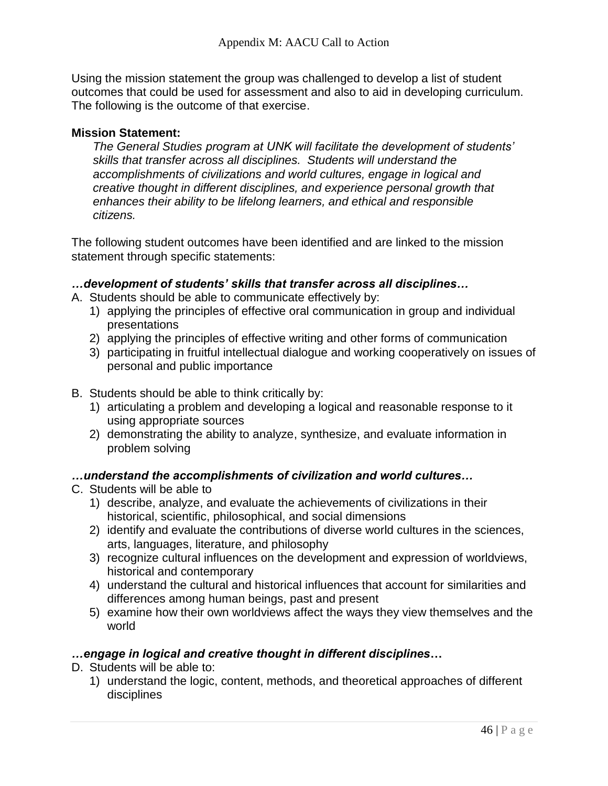Using the mission statement the group was challenged to develop a list of student outcomes that could be used for assessment and also to aid in developing curriculum. The following is the outcome of that exercise.

#### **Mission Statement:**

*The General Studies program at UNK will facilitate the development of students' skills that transfer across all disciplines. Students will understand the accomplishments of civilizations and world cultures, engage in logical and creative thought in different disciplines, and experience personal growth that enhances their ability to be lifelong learners, and ethical and responsible citizens.*

The following student outcomes have been identified and are linked to the mission statement through specific statements:

#### *…development of students' skills that transfer across all disciplines…*

- A. Students should be able to communicate effectively by:
	- 1) applying the principles of effective oral communication in group and individual presentations
	- 2) applying the principles of effective writing and other forms of communication
	- 3) participating in fruitful intellectual dialogue and working cooperatively on issues of personal and public importance
- B. Students should be able to think critically by:
	- 1) articulating a problem and developing a logical and reasonable response to it using appropriate sources
	- 2) demonstrating the ability to analyze, synthesize, and evaluate information in problem solving

#### *…understand the accomplishments of civilization and world cultures…*

- C. Students will be able to
	- 1) describe, analyze, and evaluate the achievements of civilizations in their historical, scientific, philosophical, and social dimensions
	- 2) identify and evaluate the contributions of diverse world cultures in the sciences, arts, languages, literature, and philosophy
	- 3) recognize cultural influences on the development and expression of worldviews, historical and contemporary
	- 4) understand the cultural and historical influences that account for similarities and differences among human beings, past and present
	- 5) examine how their own worldviews affect the ways they view themselves and the world

#### *…engage in logical and creative thought in different disciplines***…**

- D. Students will be able to:
	- 1) understand the logic, content, methods, and theoretical approaches of different disciplines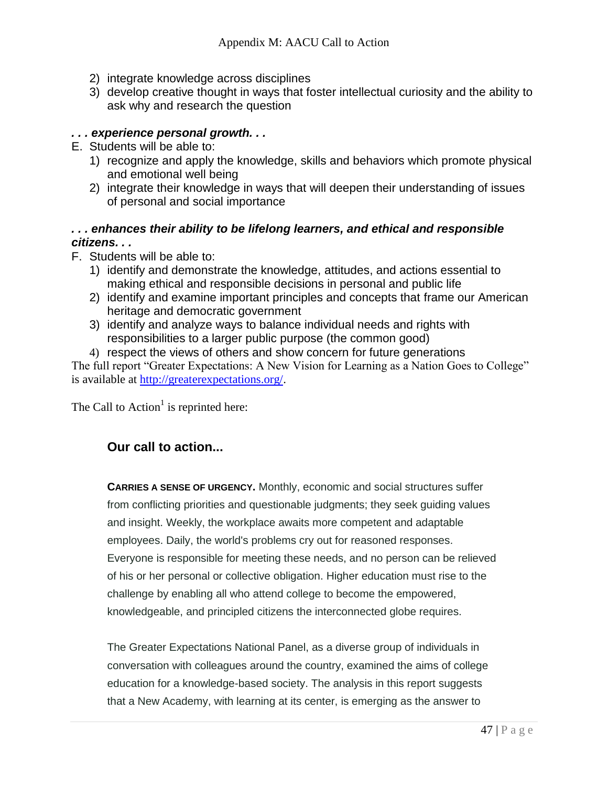- 2) integrate knowledge across disciplines
- 3) develop creative thought in ways that foster intellectual curiosity and the ability to ask why and research the question

#### *. . . experience personal growth. . .*

- E. Students will be able to:
	- 1) recognize and apply the knowledge, skills and behaviors which promote physical and emotional well being
	- 2) integrate their knowledge in ways that will deepen their understanding of issues of personal and social importance

#### *. . . enhances their ability to be lifelong learners, and ethical and responsible citizens. . .*

- F. Students will be able to:
	- 1) identify and demonstrate the knowledge, attitudes, and actions essential to making ethical and responsible decisions in personal and public life
	- 2) identify and examine important principles and concepts that frame our American heritage and democratic government
	- 3) identify and analyze ways to balance individual needs and rights with responsibilities to a larger public purpose (the common good)
	- 4) respect the views of others and show concern for future generations

The full report "Greater Expectations: A New Vision for Learning as a Nation Goes to College" is available at [http://greaterexpectations.org/.](http://greaterexpectations.org/)

The Call to  $Action<sup>1</sup>$  is reprinted here:

#### **Our call to action...**

**CARRIES A SENSE OF URGENCY.** Monthly, economic and social structures suffer from conflicting priorities and questionable judgments; they seek guiding values and insight. Weekly, the workplace awaits more competent and adaptable employees. Daily, the world's problems cry out for reasoned responses. Everyone is responsible for meeting these needs, and no person can be relieved of his or her personal or collective obligation. Higher education must rise to the challenge by enabling all who attend college to become the empowered, knowledgeable, and principled citizens the interconnected globe requires.

The Greater Expectations National Panel, as a diverse group of individuals in conversation with colleagues around the country, examined the aims of college education for a knowledge-based society. The analysis in this report suggests that a New Academy, with learning at its center, is emerging as the answer to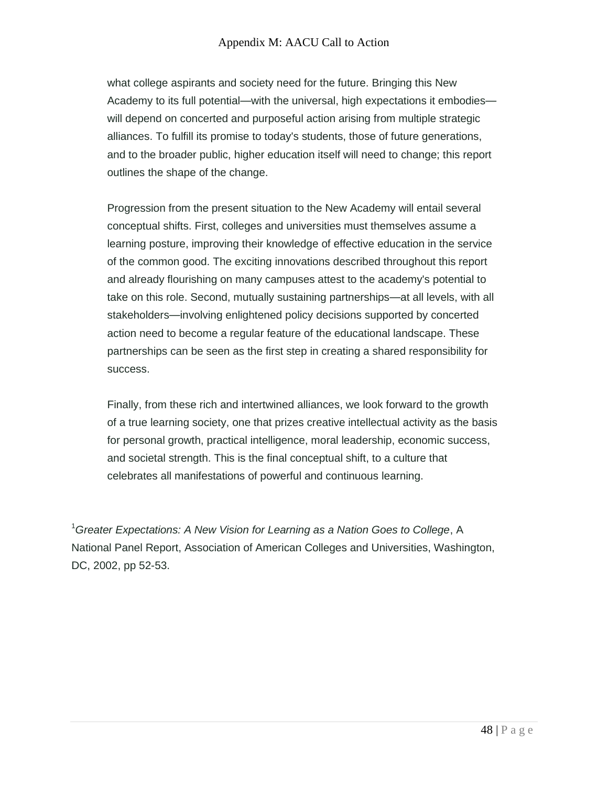what college aspirants and society need for the future. Bringing this New Academy to its full potential—with the universal, high expectations it embodies will depend on concerted and purposeful action arising from multiple strategic alliances. To fulfill its promise to today's students, those of future generations, and to the broader public, higher education itself will need to change; this report outlines the shape of the change.

Progression from the present situation to the New Academy will entail several conceptual shifts. First, colleges and universities must themselves assume a learning posture, improving their knowledge of effective education in the service of the common good. The exciting innovations described throughout this report and already flourishing on many campuses attest to the academy's potential to take on this role. Second, mutually sustaining partnerships—at all levels, with all stakeholders—involving enlightened policy decisions supported by concerted action need to become a regular feature of the educational landscape. These partnerships can be seen as the first step in creating a shared responsibility for success.

Finally, from these rich and intertwined alliances, we look forward to the growth of a true learning society, one that prizes creative intellectual activity as the basis for personal growth, practical intelligence, moral leadership, economic success, and societal strength. This is the final conceptual shift, to a culture that celebrates all manifestations of powerful and continuous learning.

<sup>1</sup>*Greater Expectations: A New Vision for Learning as a Nation Goes to College*, A National Panel Report, Association of American Colleges and Universities, Washington, DC, 2002, pp 52-53.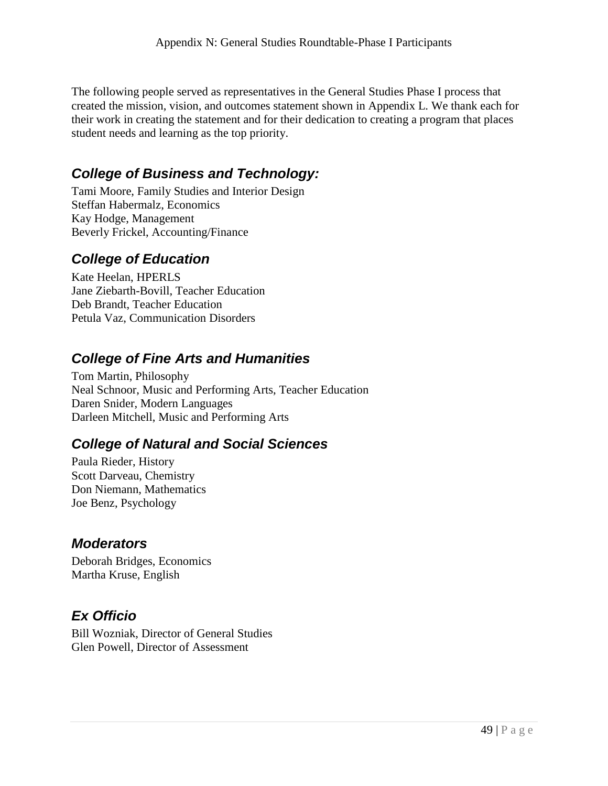The following people served as representatives in the General Studies Phase I process that created the mission, vision, and outcomes statement shown in Appendix L. We thank each for their work in creating the statement and for their dedication to creating a program that places student needs and learning as the top priority.

# *College of Business and Technology:*

Tami Moore, Family Studies and Interior Design Steffan Habermalz, Economics Kay Hodge, Management Beverly Frickel, Accounting/Finance

# *College of Education*

Kate Heelan, HPERLS Jane Ziebarth-Bovill, Teacher Education Deb Brandt, Teacher Education Petula Vaz, Communication Disorders

# *College of Fine Arts and Humanities*

Tom Martin, Philosophy Neal Schnoor, Music and Performing Arts, Teacher Education Daren Snider, Modern Languages Darleen Mitchell, Music and Performing Arts

# *College of Natural and Social Sciences*

Paula Rieder, History Scott Darveau, Chemistry Don Niemann, Mathematics Joe Benz, Psychology

## *Moderators*

Deborah Bridges, Economics Martha Kruse, English

## *Ex Officio*

Bill Wozniak, Director of General Studies Glen Powell, Director of Assessment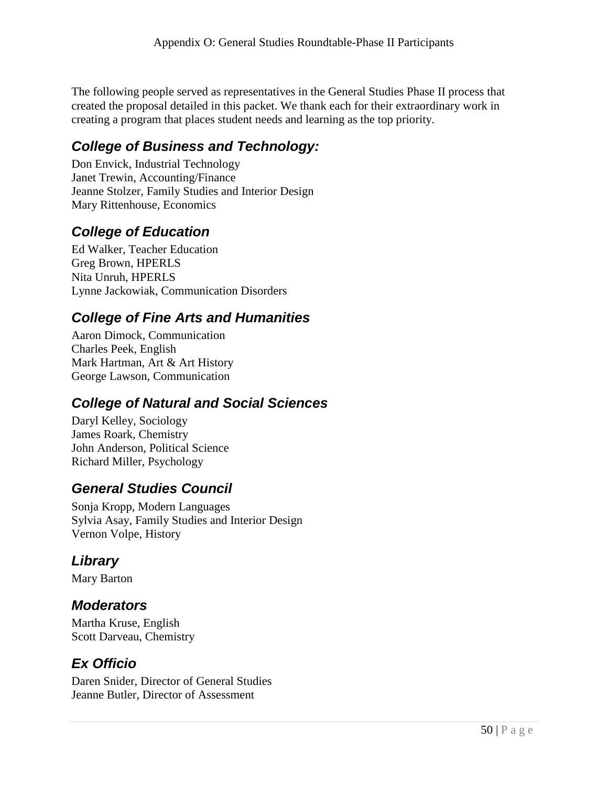The following people served as representatives in the General Studies Phase II process that created the proposal detailed in this packet. We thank each for their extraordinary work in creating a program that places student needs and learning as the top priority.

# *College of Business and Technology:*

Don Envick, Industrial Technology Janet Trewin, Accounting/Finance Jeanne Stolzer, Family Studies and Interior Design Mary Rittenhouse, Economics

## *College of Education*

Ed Walker, Teacher Education Greg Brown, HPERLS Nita Unruh, HPERLS Lynne Jackowiak, Communication Disorders

# *College of Fine Arts and Humanities*

Aaron Dimock, Communication Charles Peek, English Mark Hartman, Art & Art History George Lawson, Communication

# *College of Natural and Social Sciences*

Daryl Kelley, Sociology James Roark, Chemistry John Anderson, Political Science Richard Miller, Psychology

## *General Studies Council*

Sonja Kropp, Modern Languages Sylvia Asay, Family Studies and Interior Design Vernon Volpe, History

# *Library*

Mary Barton

#### *Moderators*

Martha Kruse, English Scott Darveau, Chemistry

# *Ex Officio*

Daren Snider, Director of General Studies Jeanne Butler, Director of Assessment